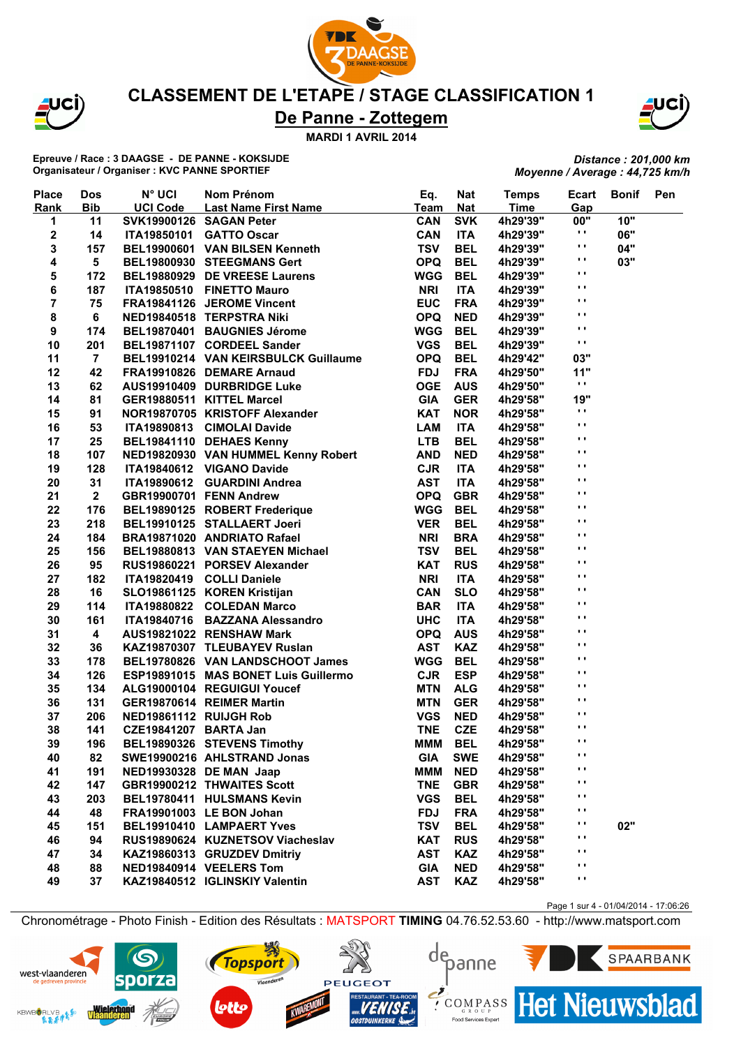

JCÌ)

#### **CLASSEMENT DE L'ETAPE / STAGE CLASSIFICATION 1**

# **De Panne - Zottegem**

**MARDI 1 AVRIL 2014**

**Epreuve / Race : 3 DAAGSE - DE PANNE - KOKSIJDE Organisateur / Organiser : KVC PANNE SPORTIEF**

*Distance : 201,000 km Moyenne / Average : 44,725 km/h*

| <b>Place</b> | <b>Dos</b>              | <b>N° UCI</b>           | Nom Prénom                           | Eq.        | <b>Nat</b> | <b>Temps</b> | Ecart          | <b>Bonif</b> | Pen |
|--------------|-------------------------|-------------------------|--------------------------------------|------------|------------|--------------|----------------|--------------|-----|
| Rank         | <b>Bib</b>              | <b>UCI Code</b>         | Last Name First Name                 | Team       | <b>Nat</b> | <b>Time</b>  | Gap            |              |     |
| 1            | 11                      | SVK19900126 SAGAN Peter |                                      | CAN        | <b>SVK</b> | 4h29'39"     | 00"            | 10"          |     |
| $\mathbf 2$  | 14                      | <b>ITA19850101</b>      | <b>GATTO Oscar</b>                   | <b>CAN</b> | <b>ITA</b> | 4h29'39"     | $\mathbf{r}$   | 06"          |     |
| 3            | 157                     |                         | BEL19900601 VAN BILSEN Kenneth       | <b>TSV</b> | <b>BEL</b> | 4h29'39"     | $\mathbf{r}$   | 04"          |     |
| 4            | 5                       |                         | BEL19800930 STEEGMANS Gert           | <b>OPQ</b> | <b>BEL</b> | 4h29'39"     | $\blacksquare$ | 03"          |     |
| 5            | 172                     |                         | BEL19880929 DE VREESE Laurens        | <b>WGG</b> | <b>BEL</b> | 4h29'39"     | $\mathbf{r}$ . |              |     |
| 6            | 187                     |                         | ITA19850510 FINETTO Mauro            | <b>NRI</b> | <b>ITA</b> | 4h29'39"     | $\blacksquare$ |              |     |
| 7            | 75                      |                         | FRA19841126 JEROME Vincent           | <b>EUC</b> | <b>FRA</b> | 4h29'39"     | $\blacksquare$ |              |     |
| 8            | 6                       |                         | NED19840518 TERPSTRA Niki            | <b>OPQ</b> | <b>NED</b> | 4h29'39"     | $\blacksquare$ |              |     |
| 9            | 174                     |                         | BEL19870401 BAUGNIES Jérome          | <b>WGG</b> | <b>BEL</b> | 4h29'39"     | $\blacksquare$ |              |     |
| 10           | 201                     |                         | BEL19871107 CORDEEL Sander           | <b>VGS</b> | <b>BEL</b> | 4h29'39"     | $\blacksquare$ |              |     |
| 11           | $\overline{7}$          |                         | BEL19910214 VAN KEIRSBULCK Guillaume | <b>OPQ</b> | <b>BEL</b> | 4h29'42"     | 03"            |              |     |
| 12           | 42                      |                         | FRA19910826 DEMARE Arnaud            | <b>FDJ</b> | <b>FRA</b> | 4h29'50"     | 11"            |              |     |
| 13           | 62                      |                         | AUS19910409 DURBRIDGE Luke           | <b>OGE</b> | <b>AUS</b> | 4h29'50"     | $\blacksquare$ |              |     |
| 14           | 81                      |                         | GER19880511 KITTEL Marcel            | <b>GIA</b> | <b>GER</b> | 4h29'58"     | 19"            |              |     |
| 15           | 91                      |                         | NOR19870705 KRISTOFF Alexander       | <b>KAT</b> | <b>NOR</b> | 4h29'58"     | $\blacksquare$ |              |     |
| 16           | 53                      |                         | ITA19890813 CIMOLAI Davide           | <b>LAM</b> | <b>ITA</b> | 4h29'58"     | $\blacksquare$ |              |     |
| 17           | 25                      |                         | BEL19841110 DEHAES Kenny             | <b>LTB</b> | <b>BEL</b> | 4h29'58"     | $\blacksquare$ |              |     |
| 18           | 107                     |                         | NED19820930 VAN HUMMEL Kenny Robert  | <b>AND</b> | <b>NED</b> | 4h29'58"     | $\mathbf{r}$ . |              |     |
| 19           | 128                     |                         | ITA19840612 VIGANO Davide            | <b>CJR</b> | <b>ITA</b> | 4h29'58"     | $\mathbf{r}$   |              |     |
| 20           | 31                      |                         | ITA19890612 GUARDINI Andrea          | <b>AST</b> | <b>ITA</b> | 4h29'58"     | $\blacksquare$ |              |     |
| 21           | $\mathbf{2}$            |                         | GBR19900701 FENN Andrew              | <b>OPQ</b> | <b>GBR</b> | 4h29'58"     | $\mathbf{r}$   |              |     |
| 22           | 176                     |                         | BEL19890125 ROBERT Frederique        | <b>WGG</b> | <b>BEL</b> | 4h29'58"     | $\mathbf{r}$ . |              |     |
| 23           | 218                     |                         | BEL19910125 STALLAERT Joeri          | <b>VER</b> | <b>BEL</b> | 4h29'58"     | $\blacksquare$ |              |     |
| 24           | 184                     |                         | BRA19871020 ANDRIATO Rafael          | <b>NRI</b> | <b>BRA</b> | 4h29'58"     | $\mathbf{r}$   |              |     |
| 25           | 156                     |                         | BEL19880813 VAN STAEYEN Michael      | <b>TSV</b> | <b>BEL</b> | 4h29'58"     | $\mathbf{r}$ . |              |     |
| 26           | 95                      |                         | RUS19860221 PORSEV Alexander         | <b>KAT</b> | <b>RUS</b> | 4h29'58"     | $\mathbf{r}$ . |              |     |
| 27           | 182                     |                         | ITA19820419 COLLI Daniele            | <b>NRI</b> | <b>ITA</b> | 4h29'58"     | $\mathbf{r}$   |              |     |
| 28           | 16                      |                         | SLO19861125 KOREN Kristijan          | <b>CAN</b> | <b>SLO</b> | 4h29'58"     | $\blacksquare$ |              |     |
| 29           | 114                     |                         | ITA19880822 COLEDAN Marco            | <b>BAR</b> | <b>ITA</b> | 4h29'58"     | $\mathbf{r}$ . |              |     |
| 30           | 161                     |                         | ITA19840716 BAZZANA Alessandro       | <b>UHC</b> | <b>ITA</b> | 4h29'58"     | $\blacksquare$ |              |     |
|              | $\overline{\mathbf{4}}$ |                         |                                      | <b>OPQ</b> | <b>AUS</b> |              | $\mathbf{r}$ . |              |     |
| 31           |                         |                         | AUS19821022 RENSHAW Mark             | <b>AST</b> | <b>KAZ</b> | 4h29'58"     | $\mathbf{r}$   |              |     |
| 32           | 36                      |                         | KAZ19870307 TLEUBAYEV Ruslan         |            |            | 4h29'58"     | $\blacksquare$ |              |     |
| 33           | 178                     |                         | BEL19780826 VAN LANDSCHOOT James     | <b>WGG</b> | <b>BEL</b> | 4h29'58"     | $\blacksquare$ |              |     |
| 34           | 126                     |                         | ESP19891015 MAS BONET Luis Guillermo | <b>CJR</b> | <b>ESP</b> | 4h29'58"     | $\blacksquare$ |              |     |
| 35           | 134                     |                         | ALG19000104 REGUIGUI Youcef          | <b>MTN</b> | <b>ALG</b> | 4h29'58"     | $\blacksquare$ |              |     |
| 36           | 131                     |                         | GER19870614 REIMER Martin            | <b>MTN</b> | <b>GER</b> | 4h29'58"     | $\mathbf{r}$   |              |     |
| 37           | 206                     | NED19861112 RUIJGH Rob  |                                      | <b>VGS</b> | <b>NED</b> | 4h29'58"     | $\mathbf{r}$ . |              |     |
| 38           | 141                     | CZE19841207 BARTA Jan   |                                      | <b>TNE</b> | <b>CZE</b> | 4h29'58"     | $\mathbf{r}$   |              |     |
| 39           | 196                     |                         | BEL19890326 STEVENS Timothy          | <b>MMM</b> | <b>BEL</b> | 4h29'58"     | $\mathbf{r}$   |              |     |
| 40           | 82                      |                         | SWE19900216 AHLSTRAND Jonas          | <b>GIA</b> | <b>SWE</b> | 4h29'58"     | $\mathbf{r}$   |              |     |
| 41           | 191                     |                         | NED19930328 DE MAN Jaap              | MMM        | <b>NED</b> | 4h29'58"     |                |              |     |
| 42           | 147                     |                         | <b>GBR19900212 THWAITES Scott</b>    | <b>TNE</b> | <b>GBR</b> | 4h29'58"     | $\mathbf{r}$   |              |     |
| 43           | 203                     |                         | BEL19780411 HULSMANS Kevin           | <b>VGS</b> | <b>BEL</b> | 4h29'58"     | . .            |              |     |
| 44           | 48                      |                         | FRA19901003 LE BON Johan             | <b>FDJ</b> | <b>FRA</b> | 4h29'58"     | $\mathbf{r}$   |              |     |
| 45           | 151                     |                         | BEL19910410 LAMPAERT Yves            | <b>TSV</b> | <b>BEL</b> | 4h29'58"     | $\cdot$        | 02"          |     |
| 46           | 94                      |                         | RUS19890624 KUZNETSOV Viacheslav     | <b>KAT</b> | <b>RUS</b> | 4h29'58"     | $\blacksquare$ |              |     |
| 47           | 34                      |                         | KAZ19860313 GRUZDEV Dmitriy          | <b>AST</b> | <b>KAZ</b> | 4h29'58"     | $\blacksquare$ |              |     |
| 48           | 88                      |                         | NED19840914 VEELERS Tom              | <b>GIA</b> | <b>NED</b> | 4h29'58"     | $\mathbf{r}$   |              |     |
| 49           | 37                      |                         | KAZ19840512 IGLINSKIY Valentin       | <b>AST</b> | <b>KAZ</b> | 4h29'58"     | $\mathbf{r}$   |              |     |

Page 1 sur 4 - 01/04/2014 - 17:06:26

Chronométrage - Photo Finish - Edition des Résultats : MATSPORT **TIMING** 04.76.52.53.60 - http://www.matsport.com

depanne

Food Services Exper







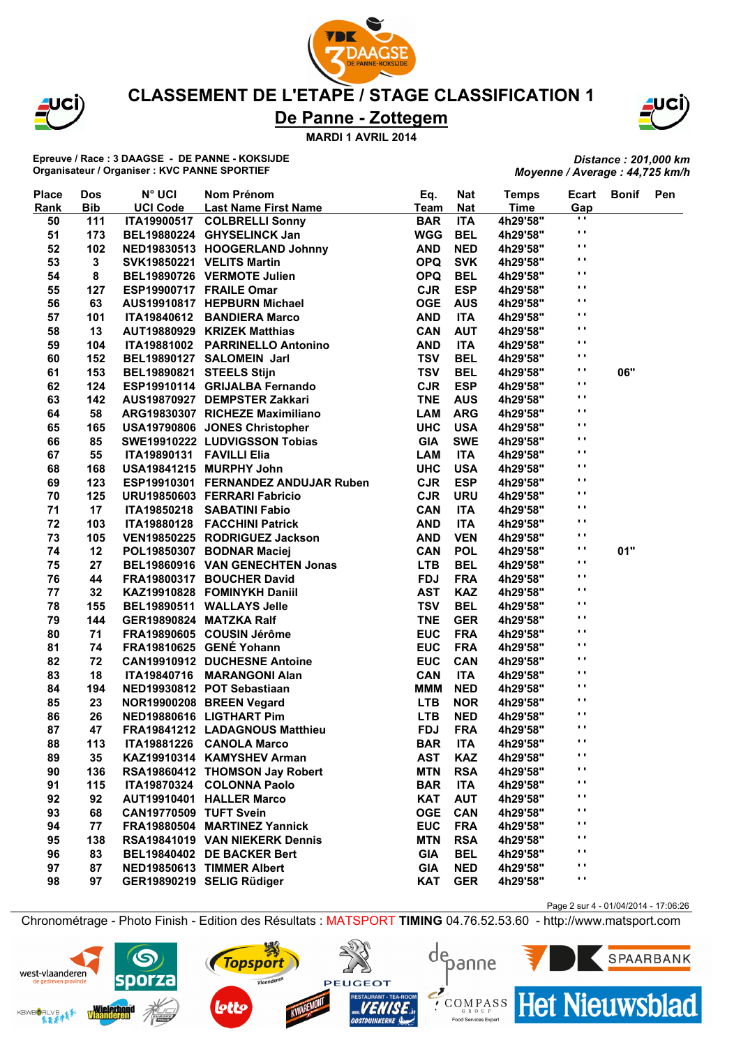

JCI)

#### **CLASSEMENT DE L'ETAPE / STAGE CLASSIFICATION 1**

# **De Panne - Zottegem**

**MARDI 1 AVRIL 2014**

**Epreuve / Race : 3 DAAGSE - DE PANNE - KOKSIJDE Organisateur / Organiser : KVC PANNE SPORTIEF**

*Distance : 201,000 km Moyenne / Average : 44,725 km/h*

| <b>Place</b> | <b>Dos</b>  | <b>N° UCI</b>            | Nom Prénom                          | Eq.         | <b>Nat</b> | <b>Temps</b> | Ecart          | <b>Bonif</b> | Pen |
|--------------|-------------|--------------------------|-------------------------------------|-------------|------------|--------------|----------------|--------------|-----|
| Rank         | <b>Bib</b>  | <b>UCI Code</b>          | <b>Last Name First Name</b>         | <b>Team</b> | <b>Nat</b> | <b>Time</b>  | Gap            |              |     |
| 50           | 111         |                          | ITA19900517 COLBRELLI Sonny         | <b>BAR</b>  | <b>ITA</b> | 4h29'58"     | $\blacksquare$ |              |     |
| 51           | 173         |                          | BEL19880224 GHYSELINCK Jan          | <b>WGG</b>  | <b>BEL</b> | 4h29'58"     | .,             |              |     |
| 52           | 102         |                          | NED19830513 HOOGERLAND Johnny       | <b>AND</b>  | <b>NED</b> | 4h29'58"     | $\mathbf{r}$   |              |     |
| 53           | $\mathbf 3$ |                          | SVK19850221 VELITS Martin           | <b>OPQ</b>  | <b>SVK</b> | 4h29'58"     | $\mathbf{r}$ , |              |     |
| 54           | 8           |                          | BEL19890726 VERMOTE Julien          | <b>OPQ</b>  | <b>BEL</b> | 4h29'58"     | $\mathbf{r}$   |              |     |
| 55           | 127         |                          | ESP19900717 FRAILE Omar             | <b>CJR</b>  | <b>ESP</b> | 4h29'58"     | $\mathbf{r}$   |              |     |
| 56           | 63          |                          | AUS19910817 HEPBURN Michael         | <b>OGE</b>  | <b>AUS</b> | 4h29'58"     | $\blacksquare$ |              |     |
| 57           | 101         |                          | ITA19840612 BANDIERA Marco          | <b>AND</b>  | <b>ITA</b> | 4h29'58"     | $\bullet$      |              |     |
| 58           | 13          |                          | AUT19880929 KRIZEK Matthias         | CAN         | <b>AUT</b> | 4h29'58"     | $\mathbf{r}$   |              |     |
| 59           | 104         |                          | ITA19881002 PARRINELLO Antonino     | <b>AND</b>  | <b>ITA</b> | 4h29'58"     | $\blacksquare$ |              |     |
| 60           | 152         |                          | BEL19890127 SALOMEIN Jarl           | <b>TSV</b>  | <b>BEL</b> | 4h29'58"     | $\mathbf{r}$   |              |     |
| 61           | 153         | BEL19890821 STEELS Stijn |                                     | <b>TSV</b>  | <b>BEL</b> | 4h29'58"     | $\blacksquare$ | 06"          |     |
| 62           | 124         |                          | ESP19910114 GRIJALBA Fernando       | <b>CJR</b>  | <b>ESP</b> | 4h29'58"     | $\blacksquare$ |              |     |
| 63           | 142         |                          | AUS19870927 DEMPSTER Zakkari        | <b>TNE</b>  | <b>AUS</b> | 4h29'58"     | $\bullet$      |              |     |
| 64           | 58          |                          | ARG19830307 RICHEZE Maximiliano     | <b>LAM</b>  | <b>ARG</b> | 4h29'58"     | $\mathbf{r}$   |              |     |
| 65           | 165         |                          | USA19790806 JONES Christopher       | <b>UHC</b>  | <b>USA</b> | 4h29'58"     | $\blacksquare$ |              |     |
| 66           | 85          |                          | SWE19910222 LUDVIGSSON Tobias       | <b>GIA</b>  | <b>SWE</b> | 4h29'58"     | $\mathbf{r}$   |              |     |
| 67           | 55          | ITA19890131 FAVILLI Elia |                                     | <b>LAM</b>  | <b>ITA</b> | 4h29'58"     | $\blacksquare$ |              |     |
| 68           | 168         |                          | USA19841215 MURPHY John             | <b>UHC</b>  | <b>USA</b> | 4h29'58"     | $\mathbf{r}$   |              |     |
| 69           | 123         |                          | ESP19910301 FERNANDEZ ANDUJAR Ruben | <b>CJR</b>  | <b>ESP</b> | 4h29'58"     | $\blacksquare$ |              |     |
| 70           | 125         |                          | URU19850603 FERRARI Fabricio        | <b>CJR</b>  | <b>URU</b> | 4h29'58"     | $\blacksquare$ |              |     |
| 71           | 17          |                          | ITA19850218 SABATINI Fabio          | <b>CAN</b>  | <b>ITA</b> | 4h29'58"     | $\blacksquare$ |              |     |
| 72           | 103         |                          | ITA19880128 FACCHINI Patrick        | <b>AND</b>  | <b>ITA</b> | 4h29'58"     | $\bullet$      |              |     |
| 73           | 105         |                          | VEN19850225 RODRIGUEZ Jackson       | <b>AND</b>  | <b>VEN</b> | 4h29'58"     | $\mathbf{r}$   |              |     |
| 74           | 12          |                          | POL19850307 BODNAR Maciej           | <b>CAN</b>  | <b>POL</b> | 4h29'58"     | $\mathbf{r}$   | 01"          |     |
| 75           | 27          |                          | BEL19860916 VAN GENECHTEN Jonas     | <b>LTB</b>  | <b>BEL</b> | 4h29'58"     | $\blacksquare$ |              |     |
| 76           | 44          |                          | FRA19800317 BOUCHER David           | <b>FDJ</b>  | <b>FRA</b> | 4h29'58"     | $\bullet$      |              |     |
| 77           | 32          |                          | KAZ19910828 FOMINYKH Daniil         | <b>AST</b>  | <b>KAZ</b> | 4h29'58"     | $\blacksquare$ |              |     |
| 78           | 155         |                          | BEL19890511 WALLAYS Jelle           | <b>TSV</b>  | <b>BEL</b> | 4h29'58"     | $\blacksquare$ |              |     |
| 79           | 144         | GER19890824 MATZKA Ralf  |                                     | <b>TNE</b>  | <b>GER</b> | 4h29'58"     | $\mathbf{r}$   |              |     |
| 80           | 71          |                          | FRA19890605 COUSIN Jérôme           | <b>EUC</b>  | <b>FRA</b> | 4h29'58"     | $\blacksquare$ |              |     |
| 81           | 74          |                          | FRA19810625 GENÉ Yohann             | <b>EUC</b>  | <b>FRA</b> | 4h29'58"     | $\blacksquare$ |              |     |
| 82           | 72          |                          | <b>CAN19910912 DUCHESNE Antoine</b> | <b>EUC</b>  | <b>CAN</b> | 4h29'58"     | .,             |              |     |
| 83           | 18          |                          | ITA19840716 MARANGONI Alan          | <b>CAN</b>  | <b>ITA</b> | 4h29'58"     | $\blacksquare$ |              |     |
| 84           | 194         |                          | NED19930812 POT Sebastiaan          | <b>MMM</b>  | <b>NED</b> | 4h29'58"     | $\blacksquare$ |              |     |
| 85           | 23          |                          | NOR19900208 BREEN Vegard            | <b>LTB</b>  | <b>NOR</b> | 4h29'58"     | $\mathbf{r}$   |              |     |
| 86           | 26          |                          | NED19880616 LIGTHART Pim            | <b>LTB</b>  | <b>NED</b> | 4h29'58"     | $\mathbf{r}$   |              |     |
| 87           | 47          |                          | FRA19841212 LADAGNOUS Matthieu      | <b>FDJ</b>  | <b>FRA</b> | 4h29'58"     | $\mathbf{r}$   |              |     |
| 88           | 113         |                          | ITA19881226 CANOLA Marco            | <b>BAR</b>  | <b>ITA</b> | 4h29'58"     | $\blacksquare$ |              |     |
| 89           | 35          |                          | KAZ19910314 KAMYSHEV Arman          | <b>AST</b>  | <b>KAZ</b> | 4h29'58"     | $\bullet$ .    |              |     |
| 90           | 136         |                          | RSA19860412 THOMSON Jay Robert      | <b>MTN</b>  | <b>RSA</b> | 4h29'58"     | $\cdot$        |              |     |
| 91           | 115         |                          | ITA19870324 COLONNA Paolo           | <b>BAR</b>  | <b>ITA</b> | 4h29'58"     | .,             |              |     |
| 92           | 92          |                          | AUT19910401 HALLER Marco            | <b>KAT</b>  | <b>AUT</b> | 4h29'58"     | $\bullet$ .    |              |     |
| 93           | 68          | CAN19770509 TUFT Svein   |                                     | <b>OGE</b>  | <b>CAN</b> | 4h29'58"     | .,             |              |     |
| 94           | 77          |                          | FRA19880504 MARTINEZ Yannick        | <b>EUC</b>  | <b>FRA</b> | 4h29'58"     | .,             |              |     |
| 95           | 138         |                          | RSA19841019 VAN NIEKERK Dennis      | <b>MTN</b>  | <b>RSA</b> | 4h29'58"     | .,             |              |     |
| 96           | 83          |                          | BEL19840402 DE BACKER Bert          | <b>GIA</b>  | <b>BEL</b> | 4h29'58"     | $\bullet$ .    |              |     |
| 97           | 87          |                          | NED19850613 TIMMER Albert           | <b>GIA</b>  | <b>NED</b> | 4h29'58"     | $\cdot$        |              |     |
| 98           | 97          |                          | GER19890219 SELIG Rüdiger           | <b>KAT</b>  | <b>GER</b> | 4h29'58"     | $\mathbf{r}$   |              |     |
|              |             |                          |                                     |             |            |              |                |              |     |

Chronométrage - Photo Finish - Edition des Résultats : MATSPORT **TIMING** 04.76.52.53.60 - http://www.matsport.com

**Topsport** 

Vlaanderen





Food Services Exper





Page 2 sur 4 - 01/04/2014 - 17:06:26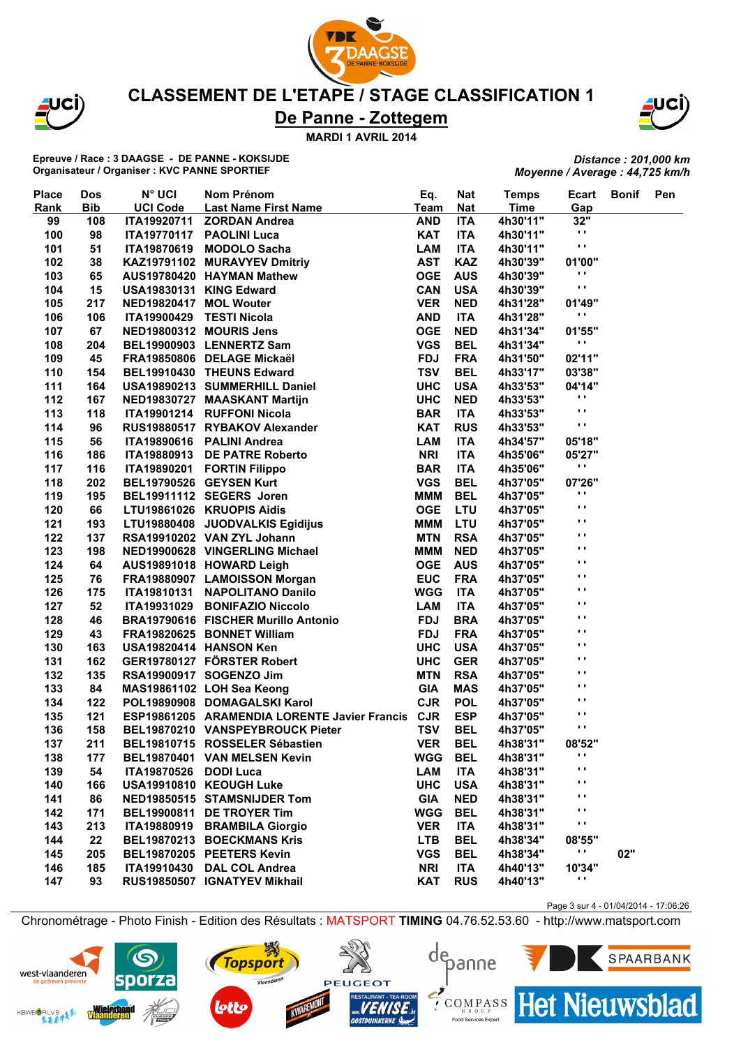

JCÌ)

#### **CLASSEMENT DE L'ETAPE / STAGE CLASSIFICATION 1**

# **De Panne - Zottegem**

**MARDI 1 AVRIL 2014**

**Epreuve / Race : 3 DAAGSE - DE PANNE - KOKSIJDE Organisateur / Organiser : KVC PANNE SPORTIEF**

*Distance : 201,000 km Moyenne / Average : 44,725 km/h*

| <b>Place</b> | <b>Dos</b> | <b>N° UCI</b>           | Nom Prénom                                       | Eq.         | <b>Nat</b> | <b>Temps</b> | Ecart                | <b>Bonif</b> | Pen |
|--------------|------------|-------------------------|--------------------------------------------------|-------------|------------|--------------|----------------------|--------------|-----|
| Rank         | <b>Bib</b> | <b>UCI Code</b>         | Last Name First Name                             | <b>Team</b> | <b>Nat</b> | <b>Time</b>  | Gap                  |              |     |
| 99           | 108        | ITA19920711             | <b>ZORDAN Andrea</b>                             | <b>AND</b>  | <b>ITA</b> | 4h30'11"     | 32"                  |              |     |
| 100          | 98         | <b>ITA19770117</b>      | <b>PAOLINI Luca</b>                              | <b>KAT</b>  | <b>ITA</b> | 4h30'11"     | $\blacksquare$       |              |     |
| 101          | 51         | <b>ITA19870619</b>      | <b>MODOLO Sacha</b>                              | <b>LAM</b>  | <b>ITA</b> | 4h30'11"     | $\blacksquare$       |              |     |
| 102          | 38         |                         | KAZ19791102 MURAVYEV Dmitriy                     | <b>AST</b>  | <b>KAZ</b> | 4h30'39"     | 01'00"               |              |     |
| 103          | 65         |                         | AUS19780420 HAYMAN Mathew                        | <b>OGE</b>  | <b>AUS</b> | 4h30'39"     | . .                  |              |     |
| 104          | 15         | USA19830131 KING Edward |                                                  | <b>CAN</b>  | <b>USA</b> | 4h30'39"     | $\blacksquare$       |              |     |
| 105          | 217        | NED19820417 MOL Wouter  |                                                  | <b>VER</b>  | <b>NED</b> | 4h31'28"     | 01'49"               |              |     |
| 106          | 106        | <b>ITA19900429</b>      | <b>TESTI Nicola</b>                              | <b>AND</b>  | <b>ITA</b> | 4h31'28"     | .,                   |              |     |
| 107          | 67         |                         | NED19800312 MOURIS Jens                          | <b>OGE</b>  | <b>NED</b> | 4h31'34"     | 01'55"               |              |     |
| 108          | 204        |                         | BEL19900903 LENNERTZ Sam                         | <b>VGS</b>  | <b>BEL</b> | 4h31'34"     | $\mathbf{r}$         |              |     |
| 109          | 45         |                         | FRA19850806 DELAGE Mickaël                       | <b>FDJ</b>  | <b>FRA</b> | 4h31'50"     | 02'11"               |              |     |
| 110          | 154        |                         | BEL19910430 THEUNS Edward                        | <b>TSV</b>  | <b>BEL</b> | 4h33'17"     | 03'38"               |              |     |
| 111          | 164        |                         | USA19890213 SUMMERHILL Daniel                    | <b>UHC</b>  | <b>USA</b> | 4h33'53"     | 04'14"               |              |     |
| 112          | 167        |                         | NED19830727 MAASKANT Martijn                     | <b>UHC</b>  | <b>NED</b> | 4h33'53"     | .,                   |              |     |
| 113          | 118        | <b>ITA19901214</b>      | <b>RUFFONI Nicola</b>                            | <b>BAR</b>  | <b>ITA</b> | 4h33'53"     | $\blacksquare$       |              |     |
| 114          | 96         |                         | RUS19880517 RYBAKOV Alexander                    | <b>KAT</b>  | <b>RUS</b> | 4h33'53"     | $\blacksquare$       |              |     |
| 115          | 56         | ITA19890616             | <b>PALINI Andrea</b>                             | <b>LAM</b>  | <b>ITA</b> | 4h34'57"     | 05'18"               |              |     |
| 116          | 186        | ITA19880913             | <b>DE PATRE Roberto</b>                          | <b>NRI</b>  | <b>ITA</b> | 4h35'06"     | 05'27"               |              |     |
| 117          | 116        |                         | ITA19890201 FORTIN Filippo                       | <b>BAR</b>  | <b>ITA</b> | 4h35'06"     | $\blacksquare$       |              |     |
| 118          | 202        |                         | BEL19790526 GEYSEN Kurt                          | <b>VGS</b>  | <b>BEL</b> | 4h37'05"     | 07'26"               |              |     |
| 119          | 195        |                         | BEL19911112 SEGERS Joren                         | <b>MMM</b>  | <b>BEL</b> | 4h37'05"     | .,                   |              |     |
| 120          | 66         |                         | LTU19861026 KRUOPIS Aidis                        | <b>OGE</b>  | <b>LTU</b> | 4h37'05"     | $\blacksquare$       |              |     |
| 121          | 193        |                         | LTU19880408 JUODVALKIS Egidijus                  | <b>MMM</b>  | <b>LTU</b> | 4h37'05"     | $\blacksquare$       |              |     |
| 122          | 137        |                         | RSA19910202 VAN ZYL Johann                       | <b>MTN</b>  | <b>RSA</b> | 4h37'05"     | $\blacksquare$       |              |     |
| 123          | 198        |                         | NED19900628 VINGERLING Michael                   | <b>MMM</b>  | <b>NED</b> | 4h37'05"     | $\mathbf{r}$         |              |     |
| 124          | 64         |                         | AUS19891018 HOWARD Leigh                         | <b>OGE</b>  | <b>AUS</b> | 4h37'05"     | $\mathbf{r}$         |              |     |
| 125          | 76         |                         | FRA19880907 LAMOISSON Morgan                     | <b>EUC</b>  | <b>FRA</b> | 4h37'05"     | $\blacksquare$       |              |     |
| 126          | 175        | <b>ITA19810131</b>      | <b>NAPOLITANO Danilo</b>                         | <b>WGG</b>  | <b>ITA</b> | 4h37'05"     | $\blacksquare$       |              |     |
| 127          | 52         | ITA19931029             | <b>BONIFAZIO Niccolo</b>                         | <b>LAM</b>  | <b>ITA</b> | 4h37'05"     | $\blacksquare$       |              |     |
| 128          | 46         |                         | BRA19790616 FISCHER Murillo Antonio              | <b>FDJ</b>  | <b>BRA</b> | 4h37'05"     | $\blacksquare$       |              |     |
| 129          | 43         |                         | FRA19820625 BONNET William                       | <b>FDJ</b>  | <b>FRA</b> | 4h37'05"     | $\blacksquare$       |              |     |
| 130          | 163        | USA19820414 HANSON Ken  |                                                  | <b>UHC</b>  | <b>USA</b> | 4h37'05"     | $\blacksquare$       |              |     |
| 131          | 162        |                         | GER19780127 FÖRSTER Robert                       | <b>UHC</b>  | <b>GER</b> | 4h37'05"     | $\mathbf{r}$         |              |     |
| 132          | 135        |                         | RSA19900917 SOGENZO Jim                          | <b>MTN</b>  | <b>RSA</b> | 4h37'05"     | $\blacksquare$       |              |     |
| 133          | 84         |                         | MAS19861102 LOH Sea Keong                        | <b>GIA</b>  | <b>MAS</b> | 4h37'05"     | $\blacksquare$       |              |     |
| 134          | 122        |                         | POL19890908 DOMAGALSKI Karol                     | <b>CJR</b>  | <b>POL</b> | 4h37'05"     | $\mathbf{r}$         |              |     |
| 135          | 121        |                         | ESP19861205 ARAMENDIA LORENTE Javier Francis CJR |             | <b>ESP</b> | 4h37'05"     | $\mathbf{r}$         |              |     |
| 136          | 158        |                         | BEL19870210 VANSPEYBROUCK Pieter                 | <b>TSV</b>  | <b>BEL</b> | 4h37'05"     | $\ddot{\phantom{1}}$ |              |     |
|              |            |                         |                                                  |             |            |              |                      |              |     |
| 137          | 211        |                         | BEL19810715 ROSSELER Sébastien                   | <b>VER</b>  | <b>BEL</b> | 4h38'31"     | 08'52"<br>.,         |              |     |
| 138          | 177        |                         | BEL19870401 VAN MELSEN Kevin                     | WGG         | <b>BEL</b> | 4h38'31"     | .,                   |              |     |
| 139          | 54         | <b>ITA19870526</b>      | <b>DODI Luca</b>                                 | LAM         | <b>ITA</b> | 4h38'31"     | .,                   |              |     |
| 140          | 166        |                         | USA19910810 KEOUGH Luke                          | <b>UHC</b>  | <b>USA</b> | 4h38'31"     | .,                   |              |     |
| 141          | 86         |                         | NED19850515 STAMSNIJDER Tom                      | <b>GIA</b>  | <b>NED</b> | 4h38'31"     | . .                  |              |     |
| 142          | 171        |                         | BEL19900811 DE TROYER Tim                        | <b>WGG</b>  | <b>BEL</b> | 4h38'31"     | $\cdot$              |              |     |
| 143          | 213        | <b>ITA19880919</b>      | <b>BRAMBILA Giorgio</b>                          | <b>VER</b>  | <b>ITA</b> | 4h38'31"     |                      |              |     |
| 144          | 22         |                         | BEL19870213 BOECKMANS Kris                       | <b>LTB</b>  | <b>BEL</b> | 4h38'34"     | 08'55"               |              |     |
| 145          | 205        |                         | BEL19870205 PEETERS Kevin                        | <b>VGS</b>  | <b>BEL</b> | 4h38'34"     | н.                   | 02"          |     |
| 146          | 185        | <b>ITA19910430</b>      | <b>DAL COL Andrea</b>                            | <b>NRI</b>  | <b>ITA</b> | 4h40'13"     | 10'34"               |              |     |
| 147          | 93         |                         | RUS19850507 IGNATYEV Mikhail                     | <b>KAT</b>  | <b>RUS</b> | 4h40'13"     | . .                  |              |     |

Chronométrage - Photo Finish - Edition des Résultats : MATSPORT **TIMING** 04.76.52.53.60 - http://www.matsport.com

depanne

 $\sum_{\text{c} \text{R}}$ 

Food Services Exper





Vlaanderen

Page 3 sur 4 - 01/04/2014 - 17:06:26



**Het Nieuwsblad** 

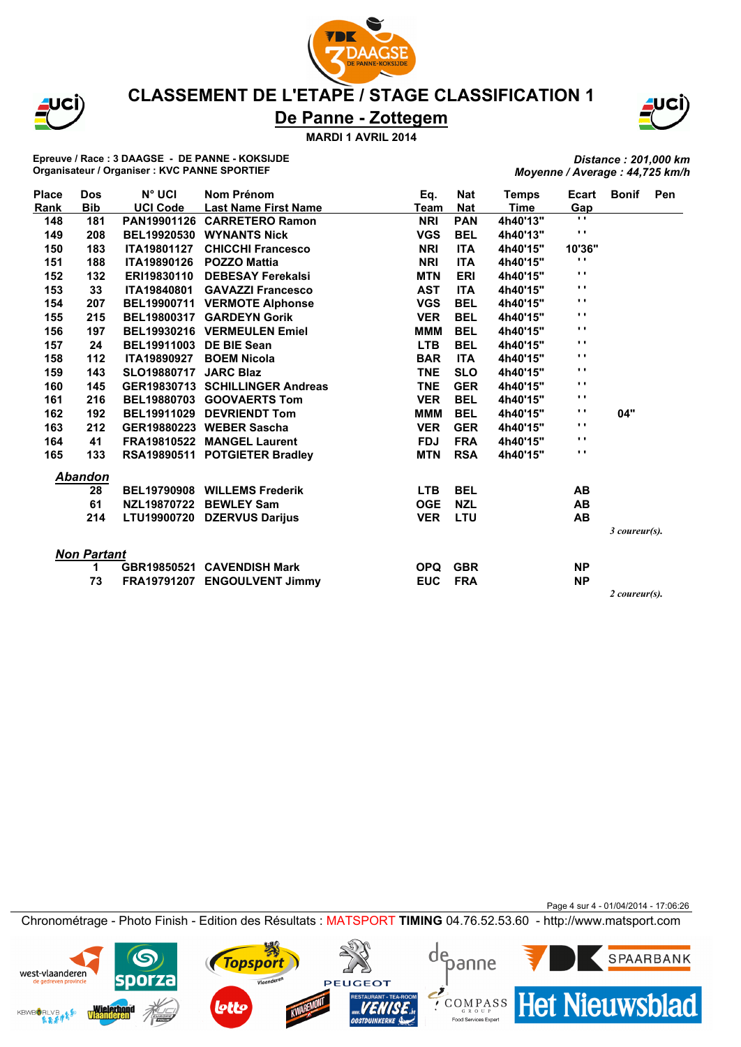



#### **CLASSEMENT DE L'ETAPE / STAGE CLASSIFICATION 1**

# **De Panne - Zottegem**

**MARDI 1 AVRIL 2014**

**Epreuve / Race : 3 DAAGSE - DE PANNE - KOKSIJDE Organisateur / Organiser : KVC PANNE SPORTIEF**

*Distance : 201,000 km Moyenne / Average : 44,725 km/h*

| Place | <b>Dos</b>         | $N^{\circ}$ UCI                | Nom Prénom                      | Eq.         | <b>Nat</b> | <b>Temps</b> | Ecart          | <b>Bonif</b>  | <b>Pen</b> |
|-------|--------------------|--------------------------------|---------------------------------|-------------|------------|--------------|----------------|---------------|------------|
| Rank  | <b>Bib</b>         | <b>UCI Code</b>                | <b>Last Name First Name</b>     | <b>Team</b> | <b>Nat</b> | <b>Time</b>  | Gap            |               |            |
| 148   | 181                |                                | PAN19901126 CARRETERO Ramon     | <b>NRI</b>  | <b>PAN</b> | 4h40'13"     | $\blacksquare$ |               |            |
| 149   | 208                |                                | BEL19920530 WYNANTS Nick        | <b>VGS</b>  | <b>BEL</b> | 4h40'13"     | $\mathbf{r}$ . |               |            |
| 150   | 183                | <b>ITA19801127</b>             | <b>CHICCHI Francesco</b>        | <b>NRI</b>  | <b>ITA</b> | 4h40'15"     | 10'36"         |               |            |
| 151   | 188                | <b>ITA19890126</b>             | <b>POZZO Mattia</b>             | <b>NRI</b>  | <b>ITA</b> | 4h40'15"     | $\cdots$       |               |            |
| 152   | 132                | ERI19830110                    | <b>DEBESAY Ferekalsi</b>        | <b>MTN</b>  | <b>ERI</b> | 4h40'15"     | $\mathbf{r}$ . |               |            |
| 153   | 33                 | <b>ITA19840801</b>             | <b>GAVAZZI Francesco</b>        | <b>AST</b>  | <b>ITA</b> | 4h40'15"     | $\mathbf{r}$   |               |            |
| 154   | 207                |                                | BEL19900711 VERMOTE Alphonse    | <b>VGS</b>  | <b>BEL</b> | 4h40'15"     | $\mathbf{r}$   |               |            |
| 155   | 215                |                                | BEL19800317 GARDEYN Gorik       | <b>VER</b>  | <b>BEL</b> | 4h40'15"     | $\mathbf{r}$   |               |            |
| 156   | 197                |                                | BEL19930216 VERMEULEN Emiel     | <b>MMM</b>  | <b>BEL</b> | 4h40'15"     | $\mathbf{r}$   |               |            |
| 157   | 24                 | <b>BEL19911003 DE BIE Sean</b> |                                 | <b>LTB</b>  | <b>BEL</b> | 4h40'15"     | $\mathbf{r}$   |               |            |
| 158   | $112$              | <b>ITA19890927</b>             | <b>BOEM Nicola</b>              | <b>BAR</b>  | <b>ITA</b> | 4h40'15"     | $\blacksquare$ |               |            |
| 159   | 143                | <b>SLO19880717 JARC Blaz</b>   |                                 | <b>TNE</b>  | <b>SLO</b> | 4h40'15"     | $\mathbf{r}$ . |               |            |
| 160   | 145                |                                | GER19830713 SCHILLINGER Andreas | <b>TNE</b>  | <b>GER</b> | 4h40'15"     | $\mathbf{r}$ . |               |            |
| 161   | 216                |                                | BEL19880703 GOOVAERTS Tom       | <b>VER</b>  | <b>BEL</b> | 4h40'15"     | $\mathbf{r}$   |               |            |
| 162   | 192                |                                | BEL19911029 DEVRIENDT Tom       | <b>MMM</b>  | <b>BEL</b> | 4h40'15"     | $\blacksquare$ | 04"           |            |
| 163   | 212                |                                | GER19880223 WEBER Sascha        | <b>VER</b>  | <b>GER</b> | 4h40'15"     | $\mathbf{r}$ . |               |            |
| 164   | 41                 |                                | FRA19810522 MANGEL Laurent      | <b>FDJ</b>  | <b>FRA</b> | 4h40'15"     | $\mathbf{r}$ . |               |            |
| 165   | 133                |                                | RSA19890511 POTGIETER Bradley   | <b>MTN</b>  | <b>RSA</b> | 4h40'15"     | $\blacksquare$ |               |            |
|       | <b>Abandon</b>     |                                |                                 |             |            |              |                |               |            |
|       | 28                 |                                | BEL19790908 WILLEMS Frederik    | <b>LTB</b>  | <b>BEL</b> |              | AB             |               |            |
|       | 61                 |                                | NZL19870722 BEWLEY Sam          | <b>OGE</b>  | <b>NZL</b> |              | <b>AB</b>      |               |            |
|       | 214                | <b>LTU19900720</b>             | <b>DZERVUS Darijus</b>          | <b>VER</b>  | LTU        |              | AB             |               |            |
|       |                    |                                |                                 |             |            |              |                | 3 coureur(s). |            |
|       | <b>Non Partant</b> |                                |                                 |             |            |              |                |               |            |
|       | 1                  |                                | GBR19850521 CAVENDISH Mark      | <b>OPQ</b>  | <b>GBR</b> |              | <b>NP</b>      |               |            |
|       | 73                 | FRA19791207                    | <b>ENGOULVENT Jimmy</b>         | <b>EUC</b>  | <b>FRA</b> |              | <b>NP</b>      |               |            |
|       |                    |                                |                                 |             |            |              |                | 2 coureur(s). |            |

Page 4 sur 4 - 01/04/2014 - 17:06:26

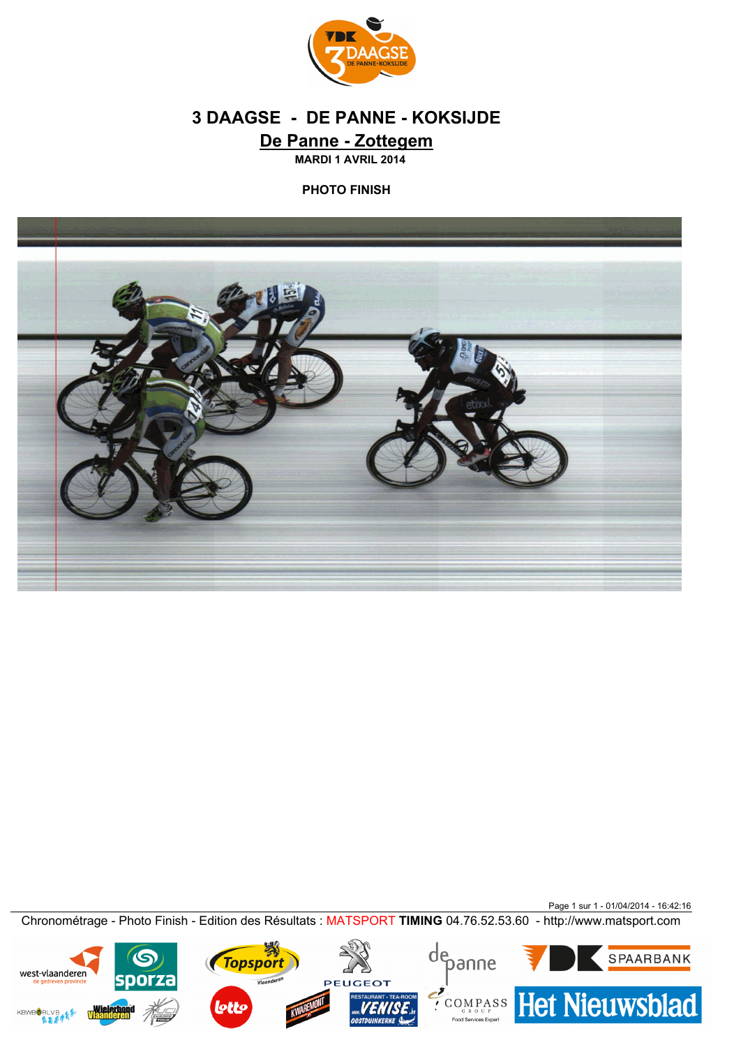

# **De Panne - Zottegem 3 DAAGSE - DE PANNE - KOKSIJDE**

**MARDI 1 AVRIL 2014**

**PHOTO FINISH**



Page 1 sur 1 - 01/04/2014 - 16:42:16 Chronométrage - Photo Finish - Edition des Résultats : MATSPORT **TIMING** 04.76.52.53.60 - http://www.matsport.com

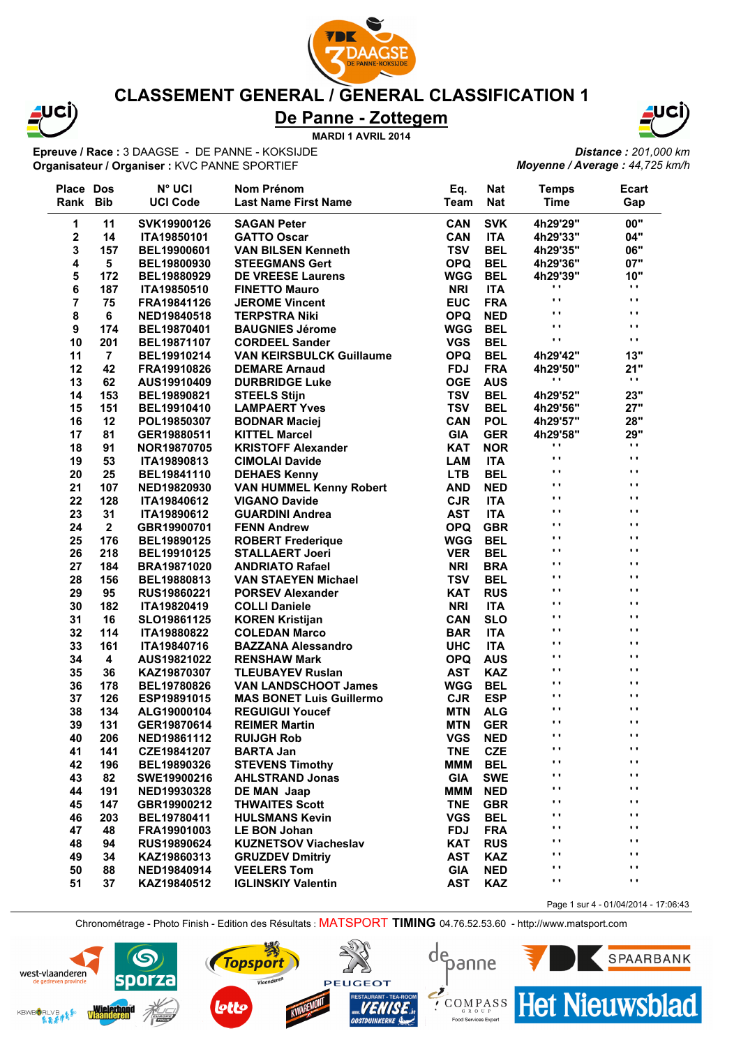

 $\overline{a}$ 

### **CLASSEMENT GENERAL / GENERAL CLASSIFICATION 1**

# **De Panne - Zottegem**

**MARDI 1 AVRIL 2014**

**Epreuve / Race :** 3 DAAGSE - DE PANNE - KOKSIJDE **Organisateur / Organiser :** KVC PANNE SPORTIEF



*Distance : 201,000 km Moyenne / Average : 44,725 km/h*

| <b>Place Dos</b> |                | <b>N° UCI</b>      | Nom Prénom                      | Eq.         | <b>Nat</b> | <b>Temps</b>   | <b>Ecart</b>                         |
|------------------|----------------|--------------------|---------------------------------|-------------|------------|----------------|--------------------------------------|
| Rank             | <b>Bib</b>     | <b>UCI Code</b>    | <b>Last Name First Name</b>     | <b>Team</b> | <b>Nat</b> | <b>Time</b>    | Gap                                  |
| 1                | 11             | SVK19900126        | <b>SAGAN Peter</b>              | <b>CAN</b>  | <b>SVK</b> | 4h29'29"       | 00"                                  |
| $\mathbf 2$      | 14             | ITA19850101        | <b>GATTO Oscar</b>              | <b>CAN</b>  | <b>ITA</b> | 4h29'33"       | 04"                                  |
| 3                | 157            | BEL19900601        | <b>VAN BILSEN Kenneth</b>       | <b>TSV</b>  | <b>BEL</b> | 4h29'35"       | 06"                                  |
| 4                | 5              | BEL19800930        | <b>STEEGMANS Gert</b>           | <b>OPQ</b>  | <b>BEL</b> | 4h29'36"       | 07"                                  |
| 5                | 172            | BEL19880929        | <b>DE VREESE Laurens</b>        | <b>WGG</b>  | <b>BEL</b> | 4h29'39"       | 10"                                  |
| 6                | 187            | ITA19850510        | <b>FINETTO Mauro</b>            | <b>NRI</b>  | <b>ITA</b> | .,             | .,                                   |
| 7                | 75             | FRA19841126        | <b>JEROME Vincent</b>           | <b>EUC</b>  | <b>FRA</b> | $\cdots$       | $\cdots$                             |
| 8                | 6              | NED19840518        | <b>TERPSTRA Niki</b>            | <b>OPQ</b>  | <b>NED</b> | $\blacksquare$ | $\blacksquare$                       |
| 9                | 174            | BEL19870401        | <b>BAUGNIES Jérome</b>          | <b>WGG</b>  | <b>BEL</b> | $\blacksquare$ | $\blacksquare$                       |
| 10               | 201            | BEL19871107        | <b>CORDEEL Sander</b>           | <b>VGS</b>  | <b>BEL</b> | $\blacksquare$ | $\blacksquare$                       |
| 11               | $\overline{7}$ | BEL19910214        | <b>VAN KEIRSBULCK Guillaume</b> | <b>OPQ</b>  | <b>BEL</b> | 4h29'42"       | 13"                                  |
| 12               | 42             | FRA19910826        | <b>DEMARE Arnaud</b>            | <b>FDJ</b>  | <b>FRA</b> | 4h29'50"       | 21"                                  |
| 13               | 62             | AUS19910409        | <b>DURBRIDGE Luke</b>           | <b>OGE</b>  | <b>AUS</b> | .,             | $\mathbf{r}$                         |
| 14               | 153            | BEL19890821        | <b>STEELS Stijn</b>             | <b>TSV</b>  | <b>BEL</b> | 4h29'52"       | 23"                                  |
| 15               | 151            | BEL19910410        | <b>LAMPAERT Yves</b>            | <b>TSV</b>  | <b>BEL</b> | 4h29'56"       | 27"                                  |
| 16               | 12             | POL19850307        | <b>BODNAR Maciej</b>            | <b>CAN</b>  | <b>POL</b> | 4h29'57"       | 28"                                  |
| 17               | 81             | GER19880511        | <b>KITTEL Marcel</b>            | <b>GIA</b>  | <b>GER</b> | 4h29'58"       | <b>29"</b>                           |
| 18               | 91             | NOR19870705        | <b>KRISTOFF Alexander</b>       | <b>KAT</b>  | <b>NOR</b> | .,             | $\cdots$                             |
| 19               | 53             | ITA19890813        | <b>CIMOLAI Davide</b>           | <b>LAM</b>  | <b>ITA</b> | $\blacksquare$ | .,                                   |
| 20               | 25             | BEL19841110        | <b>DEHAES Kenny</b>             | <b>LTB</b>  | <b>BEL</b> | $\cdots$       | $\blacksquare$                       |
| 21               | 107            | NED19820930        | <b>VAN HUMMEL Kenny Robert</b>  | <b>AND</b>  | <b>NED</b> | $\cdots$       | $\blacksquare$                       |
| 22               | 128            | ITA19840612        | <b>VIGANO Davide</b>            | <b>CJR</b>  | <b>ITA</b> | $\blacksquare$ | $\blacksquare$                       |
| 23               | 31             | ITA19890612        | <b>GUARDINI Andrea</b>          | <b>AST</b>  | <b>ITA</b> | $\blacksquare$ | $\blacksquare$                       |
| 24               | $\overline{2}$ | GBR19900701        | <b>FENN Andrew</b>              | <b>OPQ</b>  | <b>GBR</b> | $\blacksquare$ | $\blacksquare$                       |
| 25               | 176            | BEL19890125        | <b>ROBERT Frederique</b>        | <b>WGG</b>  | <b>BEL</b> | $\blacksquare$ | $\blacksquare$                       |
| 26               | 218            | BEL19910125        | <b>STALLAERT Joeri</b>          | <b>VER</b>  | <b>BEL</b> | $\blacksquare$ | $\blacksquare$                       |
| 27               | 184            | <b>BRA19871020</b> | <b>ANDRIATO Rafael</b>          | <b>NRI</b>  | <b>BRA</b> | $\blacksquare$ | $\blacksquare$                       |
| 28               | 156            | BEL19880813        | <b>VAN STAEYEN Michael</b>      | <b>TSV</b>  | <b>BEL</b> | $\blacksquare$ | $\blacksquare$                       |
| 29               | 95             | RUS19860221        | <b>PORSEV Alexander</b>         | <b>KAT</b>  | <b>RUS</b> | $\cdots$       | $\blacksquare$                       |
| 30               | 182            | ITA19820419        | <b>COLLI Daniele</b>            | <b>NRI</b>  | <b>ITA</b> | $\cdots$       | $\blacksquare$                       |
| 31               | 16             | SLO19861125        | <b>KOREN Kristijan</b>          | <b>CAN</b>  | <b>SLO</b> | $\blacksquare$ | $\blacksquare$                       |
| 32               | 114            | ITA19880822        | <b>COLEDAN Marco</b>            | <b>BAR</b>  | <b>ITA</b> | $\blacksquare$ | $\blacksquare$                       |
| 33               | 161            | ITA19840716        | <b>BAZZANA Alessandro</b>       | <b>UHC</b>  | <b>ITA</b> | $\cdots$       | $\blacksquare$                       |
| 34               | 4              | AUS19821022        | <b>RENSHAW Mark</b>             | <b>OPQ</b>  | <b>AUS</b> | $\blacksquare$ | $\blacksquare$                       |
| 35               | 36             | KAZ19870307        | <b>TLEUBAYEV Ruslan</b>         | <b>AST</b>  | <b>KAZ</b> | $\blacksquare$ | $\blacksquare$                       |
| 36               | 178            | BEL19780826        | <b>VAN LANDSCHOOT James</b>     | <b>WGG</b>  | <b>BEL</b> | $\mathbf{r}$   | .,                                   |
| 37               | 126            | ESP19891015        | <b>MAS BONET Luis Guillermo</b> | <b>CJR</b>  | <b>ESP</b> | $\cdots$       | $\cdots$                             |
| 38               | 134            | ALG19000104        | <b>REGUIGUI Youcef</b>          | <b>MTN</b>  | <b>ALG</b> | $\blacksquare$ | $\cdots$                             |
| 39               | 131            | GER19870614        | <b>REIMER Martin</b>            | <b>MTN</b>  | <b>GER</b> | $\blacksquare$ | $\cdots$                             |
| 40               | 206            | NED19861112        | <b>RUIJGH Rob</b>               | VGS         | <b>NED</b> |                |                                      |
| 41               | 141            | CZE19841207        | <b>BARTA Jan</b>                | <b>TNE</b>  | <b>CZE</b> | $\cdots$       | ,,                                   |
| 42               | 196            | BEL19890326        | <b>STEVENS Timothy</b>          | <b>MMM</b>  | <b>BEL</b> | $\cdots$       | $\cdots$                             |
| 43               | 82             | SWE19900216        | <b>AHLSTRAND Jonas</b>          | <b>GIA</b>  | <b>SWE</b> | $\cdots$       | ,,                                   |
| 44               | 191            | NED19930328        | <b>DE MAN Jaap</b>              | ммм         | <b>NED</b> | $\cdots$       | $\cdots$                             |
| 45               | 147            | GBR19900212        | <b>THWAITES Scott</b>           | <b>TNE</b>  | <b>GBR</b> | $\cdots$       | $\cdots$                             |
| 46               | 203            | BEL19780411        | <b>HULSMANS Kevin</b>           | <b>VGS</b>  | <b>BEL</b> | $\blacksquare$ | $\cdots$                             |
| 47               | 48             | FRA19901003        | <b>LE BON Johan</b>             | <b>FDJ</b>  | <b>FRA</b> | $\mathbf{r}$   | $\cdots$                             |
| 48               | 94             | <b>RUS19890624</b> | <b>KUZNETSOV Viacheslav</b>     | <b>KAT</b>  | <b>RUS</b> | $\cdots$       | $\cdots$                             |
| 49               | 34             | KAZ19860313        | <b>GRUZDEV Dmitriy</b>          | <b>AST</b>  | <b>KAZ</b> | $\cdots$       | .,                                   |
| 50               | 88             | NED19840914        | <b>VEELERS Tom</b>              | <b>GIA</b>  | <b>NED</b> | $\cdots$       | $\cdots$                             |
| 51               | 37             | KAZ19840512        | <b>IGLINSKIY Valentin</b>       | <b>AST</b>  | <b>KAZ</b> | $\cdots$       | $\blacksquare$                       |
|                  |                |                    |                                 |             |            |                | Page 1 sur 4 - 01/04/2014 - 17:06:43 |



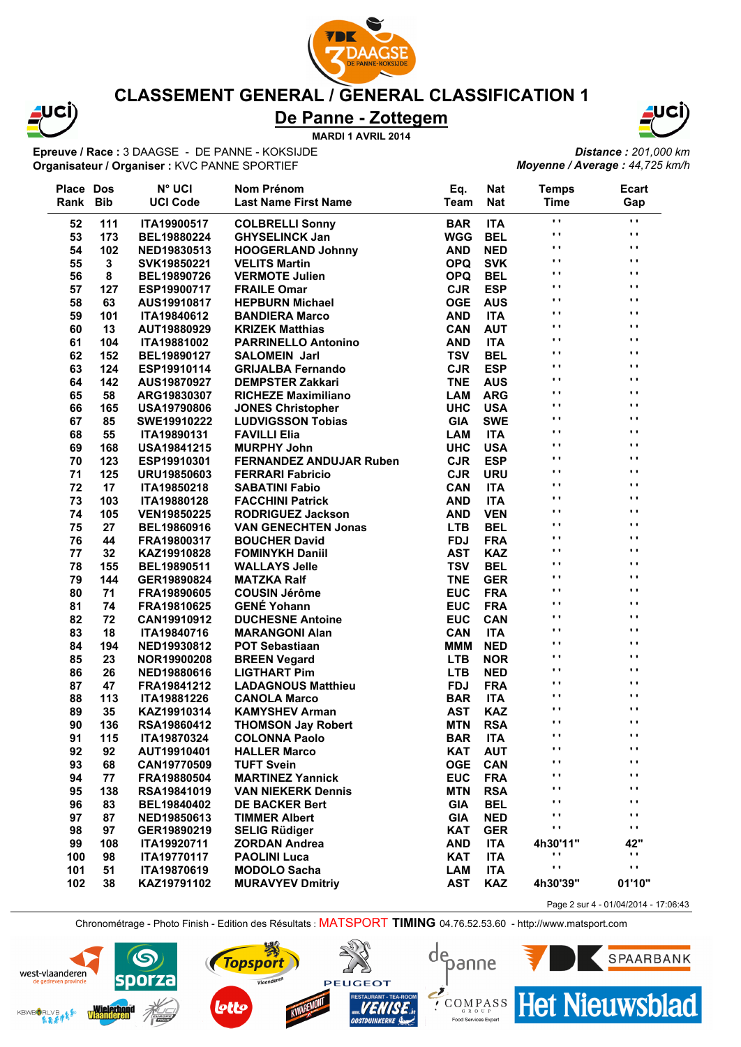

west-vlaanderen

**KBWBORLVB** 

#### **CLASSEMENT GENERAL / GENERAL CLASSIFICATION 1**

# **De Panne - Zottegem**

**MARDI 1 AVRIL 2014**

**Epreuve / Race :** 3 DAAGSE - DE PANNE - KOKSIJDE **Organisateur / Organiser :** KVC PANNE SPORTIEF



*Distance : 201,000 km Moyenne / Average : 44,725 km/h*

| Place Dos |            | <b>N° UCI</b>      | Nom Prénom                     | Eq.         | <b>Nat</b> | <b>Temps</b>         | Ecart           |
|-----------|------------|--------------------|--------------------------------|-------------|------------|----------------------|-----------------|
| Rank      | <b>Bib</b> | <b>UCI Code</b>    | <b>Last Name First Name</b>    | <b>Team</b> | <b>Nat</b> | <b>Time</b>          | Gap             |
| 52        | 111        | ITA19900517        | <b>COLBRELLI Sonny</b>         | <b>BAR</b>  | <b>ITA</b> | $\cdot$              | $\blacksquare$  |
| 53        | 173        | BEL19880224        | <b>GHYSELINCK Jan</b>          | <b>WGG</b>  | <b>BEL</b> | $\bullet$ $\bullet$  | $\blacksquare$  |
| 54        | 102        | NED19830513        | <b>HOOGERLAND Johnny</b>       | <b>AND</b>  | <b>NED</b> | $\ddot{\phantom{1}}$ | $\cdot$ $\cdot$ |
| 55        | 3          | SVK19850221        | <b>VELITS Martin</b>           | <b>OPQ</b>  | <b>SVK</b> | $\mathbf{r}$ .       | $\blacksquare$  |
| 56        | 8          | BEL19890726        | <b>VERMOTE Julien</b>          | <b>OPQ</b>  | <b>BEL</b> | $\ddot{\phantom{1}}$ | $\blacksquare$  |
| 57        | 127        | ESP19900717        | <b>FRAILE Omar</b>             | <b>CJR</b>  | <b>ESP</b> | $\blacksquare$       | $\blacksquare$  |
| 58        | 63         | AUS19910817        | <b>HEPBURN Michael</b>         | <b>OGE</b>  | <b>AUS</b> | $\ddot{\phantom{1}}$ | $\blacksquare$  |
| 59        | 101        | ITA19840612        | <b>BANDIERA Marco</b>          | <b>AND</b>  | <b>ITA</b> | $\blacksquare$       | $\blacksquare$  |
| 60        | 13         | AUT19880929        | <b>KRIZEK Matthias</b>         | CAN         | <b>AUT</b> | $\blacksquare$       | $\blacksquare$  |
| 61        | 104        | ITA19881002        | <b>PARRINELLO Antonino</b>     | <b>AND</b>  | <b>ITA</b> | $\blacksquare$       | $\blacksquare$  |
| 62        | 152        | BEL19890127        | <b>SALOMEIN Jarl</b>           | <b>TSV</b>  | <b>BEL</b> | $\blacksquare$       | $\blacksquare$  |
| 63        | 124        | ESP19910114        | <b>GRIJALBA Fernando</b>       | <b>CJR</b>  | <b>ESP</b> | $\blacksquare$       | $\blacksquare$  |
| 64        | 142        | AUS19870927        | <b>DEMPSTER Zakkari</b>        | <b>TNE</b>  | <b>AUS</b> | $\blacksquare$       | $\blacksquare$  |
| 65        | 58         | ARG19830307        | <b>RICHEZE Maximiliano</b>     | <b>LAM</b>  | <b>ARG</b> | $\ddot{\phantom{1}}$ | Ω.              |
| 66        | 165        | <b>USA19790806</b> | <b>JONES Christopher</b>       | <b>UHC</b>  | <b>USA</b> | $\blacksquare$       | $\cdot$ $\cdot$ |
| 67        | 85         | SWE19910222        | <b>LUDVIGSSON Tobias</b>       | <b>GIA</b>  | <b>SWE</b> | $\ddot{\phantom{1}}$ | $\blacksquare$  |
| 68        | 55         | ITA19890131        | <b>FAVILLI Elia</b>            | <b>LAM</b>  | <b>ITA</b> | $\cdot$              | $\cdots$        |
| 69        | 168        | <b>USA19841215</b> | <b>MURPHY John</b>             | <b>UHC</b>  | <b>USA</b> | $\blacksquare$       | $\cdot$ $\cdot$ |
| 70        | 123        | ESP19910301        | <b>FERNANDEZ ANDUJAR Ruben</b> | <b>CJR</b>  | <b>ESP</b> | $\blacksquare$       | $\blacksquare$  |
| 71        | 125        | URU19850603        | <b>FERRARI Fabricio</b>        | <b>CJR</b>  | <b>URU</b> | $\bullet$ $\bullet$  | $\blacksquare$  |
| 72        | 17         | ITA19850218        | <b>SABATINI Fabio</b>          | <b>CAN</b>  | <b>ITA</b> | $\ddot{\phantom{1}}$ | $\cdot$         |
| 73        | 103        | ITA19880128        | <b>FACCHINI Patrick</b>        | <b>AND</b>  | <b>ITA</b> | $\blacksquare$       | $\cdot$         |
| 74        | 105        | <b>VEN19850225</b> | <b>RODRIGUEZ Jackson</b>       | <b>AND</b>  | <b>VEN</b> | $\blacksquare$       | $\blacksquare$  |
| 75        | 27         | BEL19860916        | <b>VAN GENECHTEN Jonas</b>     | <b>LTB</b>  | <b>BEL</b> | $\blacksquare$       | $\blacksquare$  |
| 76        | 44         | FRA19800317        | <b>BOUCHER David</b>           | <b>FDJ</b>  | <b>FRA</b> | $\blacksquare$       | $\blacksquare$  |
| 77        | 32         | KAZ19910828        | <b>FOMINYKH Daniil</b>         | <b>AST</b>  | <b>KAZ</b> | . .                  | $\blacksquare$  |
| 78        | 155        | BEL19890511        | <b>WALLAYS Jelle</b>           | <b>TSV</b>  | <b>BEL</b> | $\ddot{\phantom{1}}$ | $\blacksquare$  |
| 79        | 144        | GER19890824        | <b>MATZKA Ralf</b>             | <b>TNE</b>  | <b>GER</b> | $\blacksquare$       | $\blacksquare$  |
| 80        | 71         | FRA19890605        | <b>COUSIN Jérôme</b>           | <b>EUC</b>  | <b>FRA</b> | $\blacksquare$       | $\blacksquare$  |
| 81        | 74         | FRA19810625        | <b>GENÉ Yohann</b>             | <b>EUC</b>  | <b>FRA</b> | $\blacksquare$       | $\blacksquare$  |
| 82        | 72         | CAN19910912        | <b>DUCHESNE Antoine</b>        | <b>EUC</b>  | CAN        | $\blacksquare$       | $\blacksquare$  |
| 83        | 18         | ITA19840716        | <b>MARANGONI Alan</b>          | <b>CAN</b>  | <b>ITA</b> | $\blacksquare$       | $\blacksquare$  |
| 84        | 194        | NED19930812        | <b>POT Sebastiaan</b>          | <b>MMM</b>  | <b>NED</b> | $\blacksquare$       | $\blacksquare$  |
| 85        | 23         | NOR19900208        | <b>BREEN Vegard</b>            | <b>LTB</b>  | <b>NOR</b> | $\blacksquare$       | $\cdot$ $\cdot$ |
| 86        | 26         | NED19880616        | <b>LIGTHART Pim</b>            | <b>LTB</b>  | <b>NED</b> | $\blacksquare$       | $\cdot$ $\cdot$ |
| 87        | 47         | FRA19841212        | <b>LADAGNOUS Matthieu</b>      | <b>FDJ</b>  | <b>FRA</b> | $\blacksquare$       | $\blacksquare$  |
| 88        | 113        | ITA19881226        | <b>CANOLA Marco</b>            | <b>BAR</b>  | <b>ITA</b> | $\blacksquare$       | $\blacksquare$  |
| 89        | 35         | KAZ19910314        | <b>KAMYSHEV Arman</b>          | <b>AST</b>  | <b>KAZ</b> | $\blacksquare$       | $\blacksquare$  |
| 90        | 136        | RSA19860412        | <b>THOMSON Jay Robert</b>      | <b>MTN</b>  | <b>RSA</b> | $\blacksquare$       | $\cdots$        |
| 91        | 115        | <b>ITA19870324</b> | <b>COLONNA Paolo</b>           | <b>BAR</b>  | <b>ITA</b> |                      |                 |
| 92        | 92         | AUT19910401        | <b>HALLER Marco</b>            | <b>KAT</b>  | <b>AUT</b> | $\blacksquare$       | .,              |
| 93        | 68         | CAN19770509        | <b>TUFT Svein</b>              | <b>OGE</b>  | <b>CAN</b> | $\blacksquare$       | $\blacksquare$  |
| 94        | 77         | FRA19880504        | <b>MARTINEZ Yannick</b>        | <b>EUC</b>  | <b>FRA</b> | Ω,                   | $\blacksquare$  |
| 95        | 138        | RSA19841019        | <b>VAN NIEKERK Dennis</b>      | <b>MTN</b>  | <b>RSA</b> | $\cdots$             | $\blacksquare$  |
| 96        | 83         | BEL19840402        | <b>DE BACKER Bert</b>          | <b>GIA</b>  | <b>BEL</b> | $\blacksquare$       | $\blacksquare$  |
| 97        | 87         | NED19850613        | <b>TIMMER Albert</b>           | <b>GIA</b>  | <b>NED</b> | $\blacksquare$       | $\blacksquare$  |
| 98        | 97         | GER19890219        | <b>SELIG Rüdiger</b>           | <b>KAT</b>  | <b>GER</b> | .,                   | $\blacksquare$  |
| 99        | 108        | ITA19920711        | <b>ZORDAN Andrea</b>           | <b>AND</b>  | <b>ITA</b> | 4h30'11"             | 42"             |
| 100       | 98         | ITA19770117        | <b>PAOLINI Luca</b>            | <b>KAT</b>  | <b>ITA</b> | .,                   | . .             |
| 101       | 51         | ITA19870619        | <b>MODOLO Sacha</b>            | <b>LAM</b>  | <b>ITA</b> | $\mathbf{r}$ ,       | Ω.              |
| 102       | 38         | KAZ19791102        | <b>MURAVYEV Dmitriy</b>        | <b>AST</b>  | <b>KAZ</b> | 4h30'39"             | 01'10"          |
|           |            |                    |                                |             |            |                      |                 |

Page 2 sur 4 - 01/04/2014 - 17:06:43



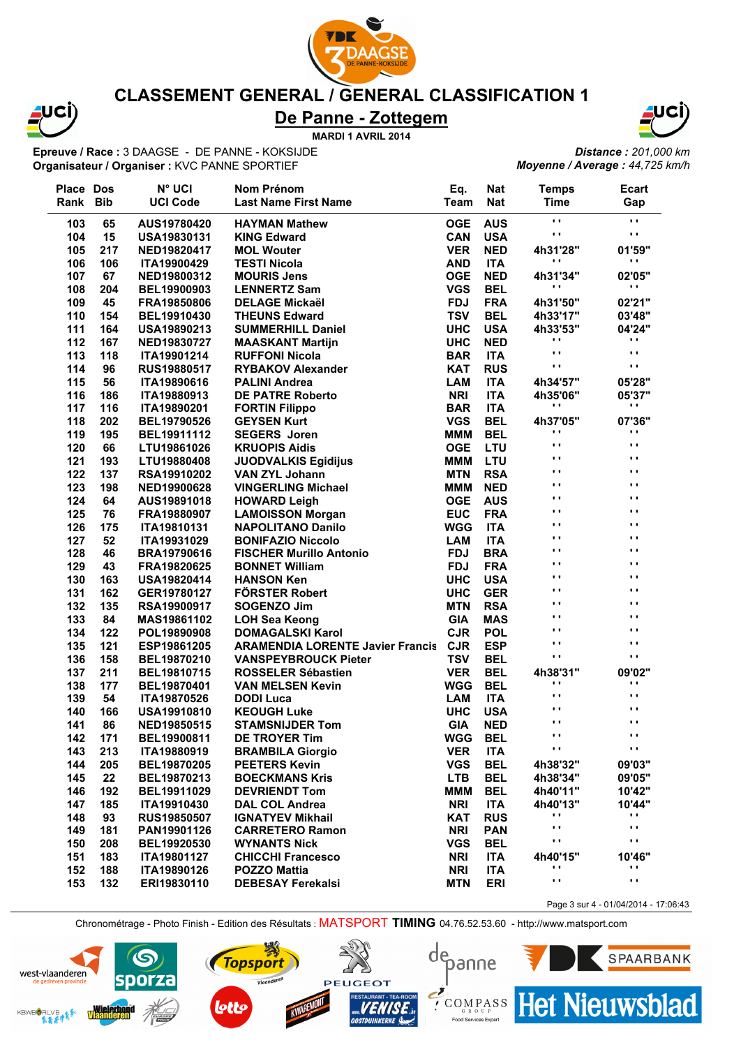

### **CLASSEMENT GENERAL / GENERAL CLASSIFICATION 1**

# **De Panne - Zottegem**

**MARDI 1 AVRIL 2014**

**Epreuve / Race :** 3 DAAGSE - DE PANNE - KOKSIJDE **Organisateur / Organiser :** KVC PANNE SPORTIEF



*Distance : 201,000 km Moyenne / Average : 44,725 km/h*

| <b>Place Dos</b> |     | N <sup>°</sup> UCI | Nom Prénom                              | Eq.         | <b>Nat</b> | <b>Temps</b>               | Ecart                    |
|------------------|-----|--------------------|-----------------------------------------|-------------|------------|----------------------------|--------------------------|
| Rank Bib         |     | <b>UCI Code</b>    | <b>Last Name First Name</b>             | <b>Team</b> | <b>Nat</b> | <b>Time</b>                | Gap                      |
| 103              | 65  | AUS19780420        | <b>HAYMAN Mathew</b>                    | <b>OGE</b>  | <b>AUS</b> | $\mathbf{r}$               | $\mathbf{r}$             |
| 104              | 15  | <b>USA19830131</b> | <b>KING Edward</b>                      | <b>CAN</b>  | <b>USA</b> | $\mathbf{r}$               | $\mathbf{r}$             |
| 105              | 217 | NED19820417        | <b>MOL Wouter</b>                       | <b>VER</b>  | <b>NED</b> | 4h31'28"                   | 01'59"                   |
| 106              | 106 | <b>ITA19900429</b> | <b>TESTI Nicola</b>                     | <b>AND</b>  | <b>ITA</b> | $\cdot$                    | $\mathbf{r}$             |
| 107              | 67  | NED19800312        | <b>MOURIS Jens</b>                      | <b>OGE</b>  | <b>NED</b> | 4h31'34"                   | 02'05"                   |
| 108              | 204 | BEL19900903        | <b>LENNERTZ Sam</b>                     | <b>VGS</b>  | <b>BEL</b> | $\cdot$ $\cdot$            | $\mathbf{r}$             |
| 109              | 45  | FRA19850806        | <b>DELAGE Mickaël</b>                   | <b>FDJ</b>  | <b>FRA</b> | 4h31'50"                   | 02'21"                   |
| 110              | 154 | BEL19910430        | <b>THEUNS Edward</b>                    | <b>TSV</b>  | <b>BEL</b> | 4h33'17"                   | 03'48"                   |
| 111              | 164 | <b>USA19890213</b> | <b>SUMMERHILL Daniel</b>                | <b>UHC</b>  | <b>USA</b> | 4h33'53"                   | 04'24"                   |
| 112              | 167 | NED19830727        | <b>MAASKANT Martijn</b>                 | <b>UHC</b>  | <b>NED</b> | $\cdot$ ,                  | $\mathbf{r}$             |
| 113              | 118 | ITA19901214        | <b>RUFFONI Nicola</b>                   | <b>BAR</b>  | <b>ITA</b> | $\blacksquare$             | $\mathbf{r}$             |
| 114              | 96  | <b>RUS19880517</b> | <b>RYBAKOV Alexander</b>                | <b>KAT</b>  | <b>RUS</b> | $\ddot{\phantom{1}}$       | $\blacksquare$           |
| 115              | 56  | ITA19890616        | <b>PALINI Andrea</b>                    | <b>LAM</b>  | <b>ITA</b> | 4h34'57"                   | 05'28"                   |
| 116              | 186 | ITA19880913        | <b>DE PATRE Roberto</b>                 | <b>NRI</b>  | <b>ITA</b> | 4h35'06"                   | 05'37"                   |
| 117              | 116 | ITA19890201        | <b>FORTIN Filippo</b>                   | <b>BAR</b>  | <b>ITA</b> | $\cdot$ ,                  | $\mathbf{r}$             |
| 118              | 202 | BEL19790526        | <b>GEYSEN Kurt</b>                      | <b>VGS</b>  | <b>BEL</b> | 4h37'05"                   | 07'36"                   |
| 119              | 195 | BEL19911112        | <b>SEGERS</b> Joren                     | <b>MMM</b>  | <b>BEL</b> | $\blacksquare$             | $\cdots$                 |
| 120              | 66  | LTU19861026        | <b>KRUOPIS Aidis</b>                    | <b>OGE</b>  | LTU        | $\ddot{\phantom{1}}$       | $\blacksquare$           |
| 121              | 193 | LTU19880408        | <b>JUODVALKIS Egidijus</b>              | <b>MMM</b>  | <b>LTU</b> | $\ddot{\phantom{1}}$       | $\blacksquare$           |
| 122              | 137 | <b>RSA19910202</b> | <b>VAN ZYL Johann</b>                   | <b>MTN</b>  | <b>RSA</b> | $\ddot{\phantom{1}}$       | $\blacksquare$           |
| 123              | 198 | NED19900628        | <b>VINGERLING Michael</b>               | МММ         | <b>NED</b> | $\ddot{\phantom{1}}$       | $\blacksquare$           |
| 124              | 64  | AUS19891018        | <b>HOWARD Leigh</b>                     | <b>OGE</b>  | <b>AUS</b> | $\cdots$                   | $\cdots$                 |
| 125              | 76  | FRA19880907        | <b>LAMOISSON Morgan</b>                 | <b>EUC</b>  | <b>FRA</b> | $\blacksquare$             | $\cdots$                 |
| 126              | 175 | ITA19810131        | <b>NAPOLITANO Danilo</b>                | <b>WGG</b>  | <b>ITA</b> | $\blacksquare$             | $\blacksquare$           |
| 127              | 52  | ITA19931029        | <b>BONIFAZIO Niccolo</b>                | <b>LAM</b>  | <b>ITA</b> | $\blacksquare$             | $\blacksquare$           |
| 128              | 46  | BRA19790616        | <b>FISCHER Murillo Antonio</b>          | <b>FDJ</b>  | <b>BRA</b> | $\blacksquare$             | $\blacksquare$           |
| 129              | 43  | FRA19820625        | <b>BONNET William</b>                   | <b>FDJ</b>  | <b>FRA</b> | $\blacksquare$             | $\blacksquare$           |
| 130              | 163 | <b>USA19820414</b> | <b>HANSON Ken</b>                       | <b>UHC</b>  | <b>USA</b> | $\blacksquare$             | $\blacksquare$           |
|                  | 162 |                    | <b>FÖRSTER Robert</b>                   | <b>UHC</b>  | <b>GER</b> | $\blacksquare$             | $\cdots$                 |
| 131<br>132       | 135 | GER19780127        | <b>SOGENZO Jim</b>                      | <b>MTN</b>  | <b>RSA</b> | $\blacksquare$             | $\blacksquare$           |
| 133              | 84  | <b>RSA19900917</b> |                                         | <b>GIA</b>  | <b>MAS</b> | $\blacksquare$             | $\cdots$                 |
|                  | 122 | MAS19861102        | <b>LOH Sea Keong</b>                    | <b>CJR</b>  | <b>POL</b> | $\blacksquare$             | $\blacksquare$           |
| 134              |     | POL19890908        | <b>DOMAGALSKI Karol</b>                 |             |            | $\blacksquare$             | $\blacksquare$           |
| 135              | 121 | ESP19861205        | <b>ARAMENDIA LORENTE Javier Francis</b> | <b>CJR</b>  | <b>ESP</b> | $\ddot{\phantom{1}}$       | $\blacksquare$           |
| 136              | 158 | BEL19870210        | <b>VANSPEYBROUCK Pieter</b>             | <b>TSV</b>  | <b>BEL</b> |                            |                          |
| 137              | 211 | BEL19810715        | <b>ROSSELER Sébastien</b>               | <b>VER</b>  | <b>BEL</b> | 4h38'31"<br>$\blacksquare$ | 09'02"<br>$\blacksquare$ |
| 138              | 177 | BEL19870401        | <b>VAN MELSEN Kevin</b>                 | <b>WGG</b>  | <b>BEL</b> | $\blacksquare$             | $\blacksquare$           |
| 139              | 54  | ITA19870526        | <b>DODI Luca</b>                        | <b>LAM</b>  | <b>ITA</b> | $\cdots$                   | $\mathbf{L}$             |
| 140              | 166 | <b>USA19910810</b> | <b>KEOUGH Luke</b>                      | <b>UHC</b>  | <b>USA</b> | $\cdots$                   | $\cdots$                 |
| 141              | 86  | NED19850515        | <b>STAMSNIJDER Tom</b>                  | <b>GIA</b>  | <b>NED</b> |                            |                          |
| 142              | 171 | BEL19900811        | <b>DE TROYER Tim</b>                    | <b>WGG</b>  | <b>BEL</b> | . .                        | . .                      |
| 143              | 213 | ITA19880919        | <b>BRAMBILA Giorgio</b>                 | <b>VER</b>  | <b>ITA</b> | $\cdot$                    | $\blacksquare$           |
| 144              | 205 | BEL19870205        | <b>PEETERS Kevin</b>                    | <b>VGS</b>  | <b>BEL</b> | 4h38'32"                   | 09'03"                   |
| 145              | 22  | BEL19870213        | <b>BOECKMANS Kris</b>                   | <b>LTB</b>  | <b>BEL</b> | 4h38'34"                   | 09'05"                   |
| 146              | 192 | BEL19911029        | <b>DEVRIENDT Tom</b>                    | <b>MMM</b>  | <b>BEL</b> | 4h40'11"                   | 10'42"                   |
| 147              | 185 | ITA19910430        | <b>DAL COL Andrea</b>                   | <b>NRI</b>  | <b>ITA</b> | 4h40'13"                   | 10'44"                   |
| 148              | 93  | <b>RUS19850507</b> | <b>IGNATYEV Mikhail</b>                 | <b>KAT</b>  | <b>RUS</b> | .,                         | $\cdot$                  |
| 149              | 181 | PAN19901126        | <b>CARRETERO Ramon</b>                  | <b>NRI</b>  | <b>PAN</b> | $\mathbf{r}$               | $\mathbf{r}$             |
| 150              | 208 | BEL19920530        | <b>WYNANTS Nick</b>                     | <b>VGS</b>  | <b>BEL</b> | $\cdot$                    | $\cdot$ ,                |
| 151              | 183 | ITA19801127        | <b>CHICCHI Francesco</b>                | <b>NRI</b>  | <b>ITA</b> | 4h40'15"                   | 10'46"                   |
| 152              | 188 | ITA19890126        | <b>POZZO Mattia</b>                     | <b>NRI</b>  | <b>ITA</b> | $\blacksquare$             | $\mathbf{r}$             |
| 153              | 132 | ERI19830110        | <b>DEBESAY Ferekalsi</b>                | <b>MTN</b>  | <b>ERI</b> | $\cdot$ ,                  | $\cdot$ ,                |

Chronométrage - Photo Finish - Edition des Résultats : MATSPORT **TIMING** 04.76.52.53.60 - http://www.matsport.com

depanne

G K O U P<br>Food Services Expert



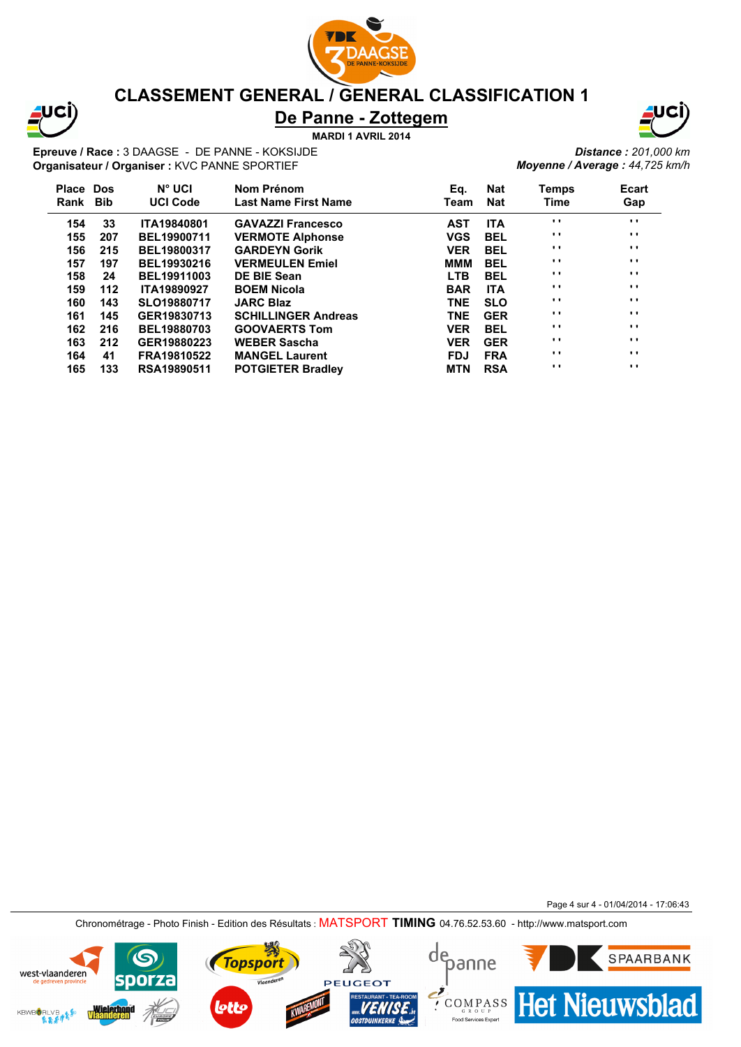

# JCI

# **CLASSEMENT GENERAL / GENERAL CLASSIFICATION 1**

# **De Panne - Zottegem**

**MARDI 1 AVRIL 2014**

**Epreuve / Race :** 3 DAAGSE - DE PANNE - KOKSIJDE **Organisateur / Organiser :** KVC PANNE SPORTIEF



*Distance : 201,000 km Moyenne / Average : 44,725 km/h*

| Temps    | <b>Ecart</b> |
|----------|--------------|
| Time     | Gap          |
| $\cdots$ | $\cdots$     |
| $\cdots$ | $\cdots$     |
| $\cdots$ | $\cdots$     |
| $\cdots$ | $\cdots$     |
| $\cdots$ | $\cdots$     |
| $\cdots$ | $\cdots$     |
| $\cdots$ | $\cdots$     |
| $\cdots$ | $\cdots$     |
| $\cdots$ | $\cdots$     |
| $\cdots$ | $\cdots$     |
| $\cdots$ | $\cdots$     |
| $\cdots$ | $\cdots$     |
|          |              |

Page 4 sur 4 - 01/04/2014 - 17:06:43

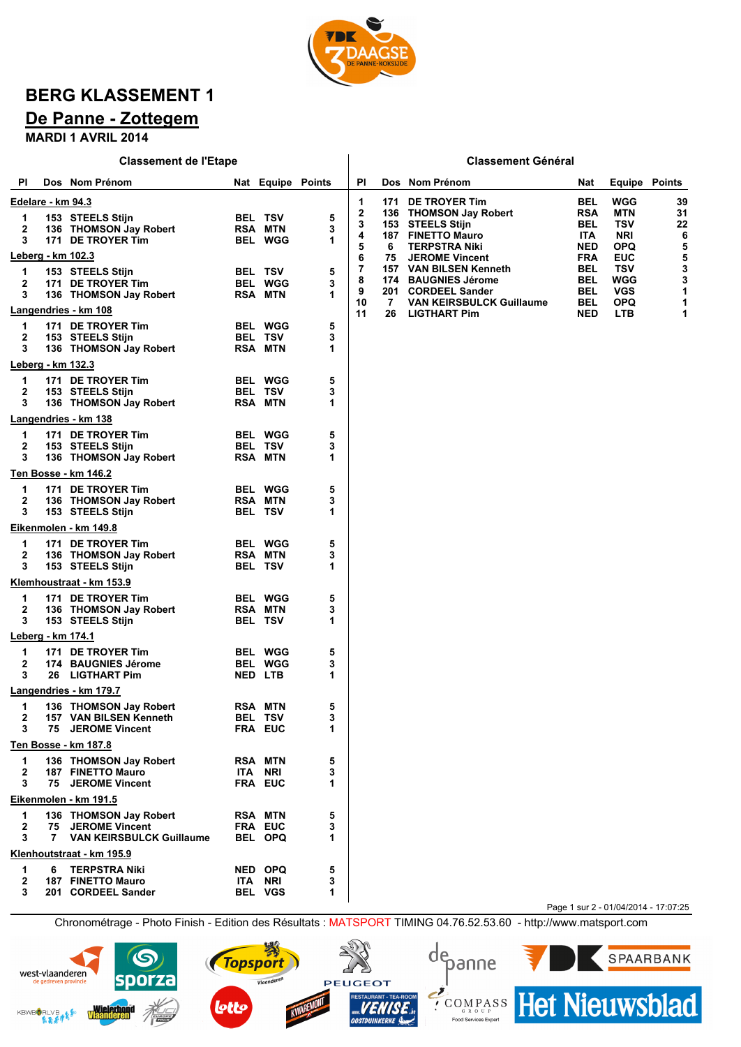

# **BERG KLASSEMENT 1**

# **De Panne - Zottegem**

**MARDI 1 AVRIL 2014**

| Dos Nom Prénom<br>ΡI<br>Dos Nom Prénom<br>PI<br>Nat Equipe Points<br><b>Equipe Points</b><br>Nat<br>DE TROYER Tim<br>BEL<br>WGG<br>39<br><u> Edelare - km 94.3</u><br>1<br>171<br>2<br><b>RSA</b><br>MTN<br>31<br>136 THOMSON Jay Robert<br>5<br><b>BEL TSV</b><br>1<br>153 STEELS Stijn<br>3<br><b>BEL</b><br>TSV<br>22<br>153 STEELS Stijn<br>2<br>3<br>136 THOMSON Jay Robert<br><b>RSA MTN</b><br>6<br>4<br><b>187 FINETTO Mauro</b><br><b>ITA</b><br><b>NRI</b><br>3<br>1<br>171 DE TROYER Tim<br><b>BEL WGG</b><br>5<br>5<br><b>NED</b><br><b>OPQ</b><br>6<br><b>TERPSTRA Niki</b><br>Leberg - km 102.3<br>5<br>6<br><b>FRA</b><br>EUC<br>75<br><b>JEROME Vincent</b><br>3<br>7<br>BEL<br>TSV<br>157 VAN BILSEN Kenneth<br>5<br>153 STEELS Stijn<br><b>BEL TSV</b><br>1<br>3<br>8<br><b>BAUGNIES Jérome</b><br><b>BEL</b><br>WGG<br>174<br>2<br>171 DE TROYER Tim<br><b>BEL WGG</b><br>3<br>1<br>9<br>201<br>BEL<br>VGS<br><b>CORDEEL Sander</b><br>3<br><b>RSA MTN</b><br>1<br>136 THOMSON Jay Robert<br>10<br>7<br><b>VAN KEIRSBULCK Guillaume</b><br>BEL<br>OPQ<br>1<br><u>Langendries - km 108</u><br>11<br>26<br><b>LIGTHART Pim</b><br><b>NED</b><br><b>LTB</b><br>1<br>5<br>171 DE TROYER Tim<br><b>BEL WGG</b><br>1<br>3<br>2<br>153 STEELS Stijn<br><b>BEL TSV</b><br>1<br>3<br><b>RSA MTN</b><br>136 THOMSON Jay Robert<br>Leberg - km 132.3<br>5<br>171 DE TROYER Tim<br><b>BEL WGG</b><br>1<br>2<br><b>BEL TSV</b><br>3<br>153 STEELS Stijn<br>136 THOMSON Jay Robert<br><b>RSA MTN</b><br>3<br>1<br><u>Langendries - km 138</u><br>171 DE TROYER Tim<br><b>BEL WGG</b><br>5<br>1<br>3<br>2<br>153 STEELS Stijn<br><b>BEL TSV</b><br>3<br>136 THOMSON Jay Robert<br>1<br><b>RSA MTN</b><br>Ten Bosse - km 146.2<br>5<br>171 DE TROYER Tim<br><b>BEL WGG</b><br>1<br>2<br>136 THOMSON Jay Robert<br><b>RSA MTN</b><br>3<br>3<br>153 STEELS Stijn<br><b>BEL TSV</b><br>1<br><u>Eikenmolen - km 149.8</u><br>5<br>1<br>171 DE TROYER Tim<br><b>BEL WGG</b><br>2<br>3<br><b>RSA MTN</b><br>136 THOMSON Jay Robert<br>1<br>3<br>153 STEELS Stijn<br><b>BEL TSV</b><br><u>Klemhoustraat - km 153.9</u><br>5<br>171 DE TROYER Tim<br><b>BEL WGG</b><br>1<br>2<br>3<br><b>RSA MTN</b><br>136 THOMSON Jay Robert<br>1<br>3<br>153 STEELS Stijn<br><b>BEL TSV</b><br><u> Leberg - km 174.1</u><br>5<br>171 DE TROYER Tim<br>1<br><b>BEL WGG</b><br>2<br>3<br>174 BAUGNIES Jérome<br><b>BEL WGG</b><br>3<br>26 LIGTHART Pim<br>1<br><b>NED LTB</b><br><b>Langendries - km 179.7</b><br>5<br>1<br>136 THOMSON Jay Robert<br><b>RSA MTN</b><br>2<br>157 VAN BILSEN Kenneth<br><b>BEL TSV</b><br>3<br>3<br>75 JEROME Vincent<br>1<br><b>FRA EUC</b><br>Ten Bosse - km 187.8<br>5<br>1<br>136 THOMSON Jay Robert<br><b>RSA MTN</b><br>$\mathbf{2}$<br>3<br>187 FINETTO Mauro<br><b>ITA NRI</b><br>75 JEROME Vincent<br>FRA EUC<br>3<br>1<br>Eikenmolen - km 191.5<br>136 THOMSON Jay Robert<br>5<br><b>RSA MTN</b><br>1<br>$\mathbf{2}$<br>75 JEROME Vincent<br>FRA EUC<br>3<br><b>VAN KEIRSBULCK Guillaume</b><br>3<br>7<br><b>BEL OPQ</b><br>1<br>Klenhoutstraat - km 195.9<br><b>TERPSTRA Niki</b><br>5<br>6<br>NED OPQ<br>1<br><b>187 FINETTO Mauro</b><br><b>ITA NRI</b><br>3<br>2<br>3<br>201 CORDEEL Sander<br><b>BEL VGS</b><br>1<br>Page 1 sur 2 - 01/04/2014 - 17:07:25 |  | <b>Classement de l'Etape</b> |  |  | <b>Classement Général</b> |  |  |
|--------------------------------------------------------------------------------------------------------------------------------------------------------------------------------------------------------------------------------------------------------------------------------------------------------------------------------------------------------------------------------------------------------------------------------------------------------------------------------------------------------------------------------------------------------------------------------------------------------------------------------------------------------------------------------------------------------------------------------------------------------------------------------------------------------------------------------------------------------------------------------------------------------------------------------------------------------------------------------------------------------------------------------------------------------------------------------------------------------------------------------------------------------------------------------------------------------------------------------------------------------------------------------------------------------------------------------------------------------------------------------------------------------------------------------------------------------------------------------------------------------------------------------------------------------------------------------------------------------------------------------------------------------------------------------------------------------------------------------------------------------------------------------------------------------------------------------------------------------------------------------------------------------------------------------------------------------------------------------------------------------------------------------------------------------------------------------------------------------------------------------------------------------------------------------------------------------------------------------------------------------------------------------------------------------------------------------------------------------------------------------------------------------------------------------------------------------------------------------------------------------------------------------------------------------------------------------------------------------------------------------------------------------------------------------------------------------------------------------------------------------------------------------------------------------------------------------------------------------------------------------------------------------------------------------------------------------------------------------------------------------------------------------------------------------------------------------------------------------------------------------------------------------------------------------------------------------------------------------------------------------------------------------------|--|------------------------------|--|--|---------------------------|--|--|
|                                                                                                                                                                                                                                                                                                                                                                                                                                                                                                                                                                                                                                                                                                                                                                                                                                                                                                                                                                                                                                                                                                                                                                                                                                                                                                                                                                                                                                                                                                                                                                                                                                                                                                                                                                                                                                                                                                                                                                                                                                                                                                                                                                                                                                                                                                                                                                                                                                                                                                                                                                                                                                                                                                                                                                                                                                                                                                                                                                                                                                                                                                                                                                                                                                                                                      |  |                              |  |  |                           |  |  |
|                                                                                                                                                                                                                                                                                                                                                                                                                                                                                                                                                                                                                                                                                                                                                                                                                                                                                                                                                                                                                                                                                                                                                                                                                                                                                                                                                                                                                                                                                                                                                                                                                                                                                                                                                                                                                                                                                                                                                                                                                                                                                                                                                                                                                                                                                                                                                                                                                                                                                                                                                                                                                                                                                                                                                                                                                                                                                                                                                                                                                                                                                                                                                                                                                                                                                      |  |                              |  |  |                           |  |  |
|                                                                                                                                                                                                                                                                                                                                                                                                                                                                                                                                                                                                                                                                                                                                                                                                                                                                                                                                                                                                                                                                                                                                                                                                                                                                                                                                                                                                                                                                                                                                                                                                                                                                                                                                                                                                                                                                                                                                                                                                                                                                                                                                                                                                                                                                                                                                                                                                                                                                                                                                                                                                                                                                                                                                                                                                                                                                                                                                                                                                                                                                                                                                                                                                                                                                                      |  |                              |  |  |                           |  |  |
|                                                                                                                                                                                                                                                                                                                                                                                                                                                                                                                                                                                                                                                                                                                                                                                                                                                                                                                                                                                                                                                                                                                                                                                                                                                                                                                                                                                                                                                                                                                                                                                                                                                                                                                                                                                                                                                                                                                                                                                                                                                                                                                                                                                                                                                                                                                                                                                                                                                                                                                                                                                                                                                                                                                                                                                                                                                                                                                                                                                                                                                                                                                                                                                                                                                                                      |  |                              |  |  |                           |  |  |
|                                                                                                                                                                                                                                                                                                                                                                                                                                                                                                                                                                                                                                                                                                                                                                                                                                                                                                                                                                                                                                                                                                                                                                                                                                                                                                                                                                                                                                                                                                                                                                                                                                                                                                                                                                                                                                                                                                                                                                                                                                                                                                                                                                                                                                                                                                                                                                                                                                                                                                                                                                                                                                                                                                                                                                                                                                                                                                                                                                                                                                                                                                                                                                                                                                                                                      |  |                              |  |  |                           |  |  |
|                                                                                                                                                                                                                                                                                                                                                                                                                                                                                                                                                                                                                                                                                                                                                                                                                                                                                                                                                                                                                                                                                                                                                                                                                                                                                                                                                                                                                                                                                                                                                                                                                                                                                                                                                                                                                                                                                                                                                                                                                                                                                                                                                                                                                                                                                                                                                                                                                                                                                                                                                                                                                                                                                                                                                                                                                                                                                                                                                                                                                                                                                                                                                                                                                                                                                      |  |                              |  |  |                           |  |  |
|                                                                                                                                                                                                                                                                                                                                                                                                                                                                                                                                                                                                                                                                                                                                                                                                                                                                                                                                                                                                                                                                                                                                                                                                                                                                                                                                                                                                                                                                                                                                                                                                                                                                                                                                                                                                                                                                                                                                                                                                                                                                                                                                                                                                                                                                                                                                                                                                                                                                                                                                                                                                                                                                                                                                                                                                                                                                                                                                                                                                                                                                                                                                                                                                                                                                                      |  |                              |  |  |                           |  |  |
|                                                                                                                                                                                                                                                                                                                                                                                                                                                                                                                                                                                                                                                                                                                                                                                                                                                                                                                                                                                                                                                                                                                                                                                                                                                                                                                                                                                                                                                                                                                                                                                                                                                                                                                                                                                                                                                                                                                                                                                                                                                                                                                                                                                                                                                                                                                                                                                                                                                                                                                                                                                                                                                                                                                                                                                                                                                                                                                                                                                                                                                                                                                                                                                                                                                                                      |  |                              |  |  |                           |  |  |
|                                                                                                                                                                                                                                                                                                                                                                                                                                                                                                                                                                                                                                                                                                                                                                                                                                                                                                                                                                                                                                                                                                                                                                                                                                                                                                                                                                                                                                                                                                                                                                                                                                                                                                                                                                                                                                                                                                                                                                                                                                                                                                                                                                                                                                                                                                                                                                                                                                                                                                                                                                                                                                                                                                                                                                                                                                                                                                                                                                                                                                                                                                                                                                                                                                                                                      |  |                              |  |  |                           |  |  |
|                                                                                                                                                                                                                                                                                                                                                                                                                                                                                                                                                                                                                                                                                                                                                                                                                                                                                                                                                                                                                                                                                                                                                                                                                                                                                                                                                                                                                                                                                                                                                                                                                                                                                                                                                                                                                                                                                                                                                                                                                                                                                                                                                                                                                                                                                                                                                                                                                                                                                                                                                                                                                                                                                                                                                                                                                                                                                                                                                                                                                                                                                                                                                                                                                                                                                      |  |                              |  |  |                           |  |  |
|                                                                                                                                                                                                                                                                                                                                                                                                                                                                                                                                                                                                                                                                                                                                                                                                                                                                                                                                                                                                                                                                                                                                                                                                                                                                                                                                                                                                                                                                                                                                                                                                                                                                                                                                                                                                                                                                                                                                                                                                                                                                                                                                                                                                                                                                                                                                                                                                                                                                                                                                                                                                                                                                                                                                                                                                                                                                                                                                                                                                                                                                                                                                                                                                                                                                                      |  |                              |  |  |                           |  |  |
|                                                                                                                                                                                                                                                                                                                                                                                                                                                                                                                                                                                                                                                                                                                                                                                                                                                                                                                                                                                                                                                                                                                                                                                                                                                                                                                                                                                                                                                                                                                                                                                                                                                                                                                                                                                                                                                                                                                                                                                                                                                                                                                                                                                                                                                                                                                                                                                                                                                                                                                                                                                                                                                                                                                                                                                                                                                                                                                                                                                                                                                                                                                                                                                                                                                                                      |  |                              |  |  |                           |  |  |
|                                                                                                                                                                                                                                                                                                                                                                                                                                                                                                                                                                                                                                                                                                                                                                                                                                                                                                                                                                                                                                                                                                                                                                                                                                                                                                                                                                                                                                                                                                                                                                                                                                                                                                                                                                                                                                                                                                                                                                                                                                                                                                                                                                                                                                                                                                                                                                                                                                                                                                                                                                                                                                                                                                                                                                                                                                                                                                                                                                                                                                                                                                                                                                                                                                                                                      |  |                              |  |  |                           |  |  |
|                                                                                                                                                                                                                                                                                                                                                                                                                                                                                                                                                                                                                                                                                                                                                                                                                                                                                                                                                                                                                                                                                                                                                                                                                                                                                                                                                                                                                                                                                                                                                                                                                                                                                                                                                                                                                                                                                                                                                                                                                                                                                                                                                                                                                                                                                                                                                                                                                                                                                                                                                                                                                                                                                                                                                                                                                                                                                                                                                                                                                                                                                                                                                                                                                                                                                      |  |                              |  |  |                           |  |  |
|                                                                                                                                                                                                                                                                                                                                                                                                                                                                                                                                                                                                                                                                                                                                                                                                                                                                                                                                                                                                                                                                                                                                                                                                                                                                                                                                                                                                                                                                                                                                                                                                                                                                                                                                                                                                                                                                                                                                                                                                                                                                                                                                                                                                                                                                                                                                                                                                                                                                                                                                                                                                                                                                                                                                                                                                                                                                                                                                                                                                                                                                                                                                                                                                                                                                                      |  |                              |  |  |                           |  |  |
|                                                                                                                                                                                                                                                                                                                                                                                                                                                                                                                                                                                                                                                                                                                                                                                                                                                                                                                                                                                                                                                                                                                                                                                                                                                                                                                                                                                                                                                                                                                                                                                                                                                                                                                                                                                                                                                                                                                                                                                                                                                                                                                                                                                                                                                                                                                                                                                                                                                                                                                                                                                                                                                                                                                                                                                                                                                                                                                                                                                                                                                                                                                                                                                                                                                                                      |  |                              |  |  |                           |  |  |
|                                                                                                                                                                                                                                                                                                                                                                                                                                                                                                                                                                                                                                                                                                                                                                                                                                                                                                                                                                                                                                                                                                                                                                                                                                                                                                                                                                                                                                                                                                                                                                                                                                                                                                                                                                                                                                                                                                                                                                                                                                                                                                                                                                                                                                                                                                                                                                                                                                                                                                                                                                                                                                                                                                                                                                                                                                                                                                                                                                                                                                                                                                                                                                                                                                                                                      |  |                              |  |  |                           |  |  |
|                                                                                                                                                                                                                                                                                                                                                                                                                                                                                                                                                                                                                                                                                                                                                                                                                                                                                                                                                                                                                                                                                                                                                                                                                                                                                                                                                                                                                                                                                                                                                                                                                                                                                                                                                                                                                                                                                                                                                                                                                                                                                                                                                                                                                                                                                                                                                                                                                                                                                                                                                                                                                                                                                                                                                                                                                                                                                                                                                                                                                                                                                                                                                                                                                                                                                      |  |                              |  |  |                           |  |  |
|                                                                                                                                                                                                                                                                                                                                                                                                                                                                                                                                                                                                                                                                                                                                                                                                                                                                                                                                                                                                                                                                                                                                                                                                                                                                                                                                                                                                                                                                                                                                                                                                                                                                                                                                                                                                                                                                                                                                                                                                                                                                                                                                                                                                                                                                                                                                                                                                                                                                                                                                                                                                                                                                                                                                                                                                                                                                                                                                                                                                                                                                                                                                                                                                                                                                                      |  |                              |  |  |                           |  |  |
|                                                                                                                                                                                                                                                                                                                                                                                                                                                                                                                                                                                                                                                                                                                                                                                                                                                                                                                                                                                                                                                                                                                                                                                                                                                                                                                                                                                                                                                                                                                                                                                                                                                                                                                                                                                                                                                                                                                                                                                                                                                                                                                                                                                                                                                                                                                                                                                                                                                                                                                                                                                                                                                                                                                                                                                                                                                                                                                                                                                                                                                                                                                                                                                                                                                                                      |  |                              |  |  |                           |  |  |
|                                                                                                                                                                                                                                                                                                                                                                                                                                                                                                                                                                                                                                                                                                                                                                                                                                                                                                                                                                                                                                                                                                                                                                                                                                                                                                                                                                                                                                                                                                                                                                                                                                                                                                                                                                                                                                                                                                                                                                                                                                                                                                                                                                                                                                                                                                                                                                                                                                                                                                                                                                                                                                                                                                                                                                                                                                                                                                                                                                                                                                                                                                                                                                                                                                                                                      |  |                              |  |  |                           |  |  |
|                                                                                                                                                                                                                                                                                                                                                                                                                                                                                                                                                                                                                                                                                                                                                                                                                                                                                                                                                                                                                                                                                                                                                                                                                                                                                                                                                                                                                                                                                                                                                                                                                                                                                                                                                                                                                                                                                                                                                                                                                                                                                                                                                                                                                                                                                                                                                                                                                                                                                                                                                                                                                                                                                                                                                                                                                                                                                                                                                                                                                                                                                                                                                                                                                                                                                      |  |                              |  |  |                           |  |  |
|                                                                                                                                                                                                                                                                                                                                                                                                                                                                                                                                                                                                                                                                                                                                                                                                                                                                                                                                                                                                                                                                                                                                                                                                                                                                                                                                                                                                                                                                                                                                                                                                                                                                                                                                                                                                                                                                                                                                                                                                                                                                                                                                                                                                                                                                                                                                                                                                                                                                                                                                                                                                                                                                                                                                                                                                                                                                                                                                                                                                                                                                                                                                                                                                                                                                                      |  |                              |  |  |                           |  |  |
|                                                                                                                                                                                                                                                                                                                                                                                                                                                                                                                                                                                                                                                                                                                                                                                                                                                                                                                                                                                                                                                                                                                                                                                                                                                                                                                                                                                                                                                                                                                                                                                                                                                                                                                                                                                                                                                                                                                                                                                                                                                                                                                                                                                                                                                                                                                                                                                                                                                                                                                                                                                                                                                                                                                                                                                                                                                                                                                                                                                                                                                                                                                                                                                                                                                                                      |  |                              |  |  |                           |  |  |
|                                                                                                                                                                                                                                                                                                                                                                                                                                                                                                                                                                                                                                                                                                                                                                                                                                                                                                                                                                                                                                                                                                                                                                                                                                                                                                                                                                                                                                                                                                                                                                                                                                                                                                                                                                                                                                                                                                                                                                                                                                                                                                                                                                                                                                                                                                                                                                                                                                                                                                                                                                                                                                                                                                                                                                                                                                                                                                                                                                                                                                                                                                                                                                                                                                                                                      |  |                              |  |  |                           |  |  |
|                                                                                                                                                                                                                                                                                                                                                                                                                                                                                                                                                                                                                                                                                                                                                                                                                                                                                                                                                                                                                                                                                                                                                                                                                                                                                                                                                                                                                                                                                                                                                                                                                                                                                                                                                                                                                                                                                                                                                                                                                                                                                                                                                                                                                                                                                                                                                                                                                                                                                                                                                                                                                                                                                                                                                                                                                                                                                                                                                                                                                                                                                                                                                                                                                                                                                      |  |                              |  |  |                           |  |  |
|                                                                                                                                                                                                                                                                                                                                                                                                                                                                                                                                                                                                                                                                                                                                                                                                                                                                                                                                                                                                                                                                                                                                                                                                                                                                                                                                                                                                                                                                                                                                                                                                                                                                                                                                                                                                                                                                                                                                                                                                                                                                                                                                                                                                                                                                                                                                                                                                                                                                                                                                                                                                                                                                                                                                                                                                                                                                                                                                                                                                                                                                                                                                                                                                                                                                                      |  |                              |  |  |                           |  |  |
|                                                                                                                                                                                                                                                                                                                                                                                                                                                                                                                                                                                                                                                                                                                                                                                                                                                                                                                                                                                                                                                                                                                                                                                                                                                                                                                                                                                                                                                                                                                                                                                                                                                                                                                                                                                                                                                                                                                                                                                                                                                                                                                                                                                                                                                                                                                                                                                                                                                                                                                                                                                                                                                                                                                                                                                                                                                                                                                                                                                                                                                                                                                                                                                                                                                                                      |  |                              |  |  |                           |  |  |
|                                                                                                                                                                                                                                                                                                                                                                                                                                                                                                                                                                                                                                                                                                                                                                                                                                                                                                                                                                                                                                                                                                                                                                                                                                                                                                                                                                                                                                                                                                                                                                                                                                                                                                                                                                                                                                                                                                                                                                                                                                                                                                                                                                                                                                                                                                                                                                                                                                                                                                                                                                                                                                                                                                                                                                                                                                                                                                                                                                                                                                                                                                                                                                                                                                                                                      |  |                              |  |  |                           |  |  |
|                                                                                                                                                                                                                                                                                                                                                                                                                                                                                                                                                                                                                                                                                                                                                                                                                                                                                                                                                                                                                                                                                                                                                                                                                                                                                                                                                                                                                                                                                                                                                                                                                                                                                                                                                                                                                                                                                                                                                                                                                                                                                                                                                                                                                                                                                                                                                                                                                                                                                                                                                                                                                                                                                                                                                                                                                                                                                                                                                                                                                                                                                                                                                                                                                                                                                      |  |                              |  |  |                           |  |  |
|                                                                                                                                                                                                                                                                                                                                                                                                                                                                                                                                                                                                                                                                                                                                                                                                                                                                                                                                                                                                                                                                                                                                                                                                                                                                                                                                                                                                                                                                                                                                                                                                                                                                                                                                                                                                                                                                                                                                                                                                                                                                                                                                                                                                                                                                                                                                                                                                                                                                                                                                                                                                                                                                                                                                                                                                                                                                                                                                                                                                                                                                                                                                                                                                                                                                                      |  |                              |  |  |                           |  |  |
|                                                                                                                                                                                                                                                                                                                                                                                                                                                                                                                                                                                                                                                                                                                                                                                                                                                                                                                                                                                                                                                                                                                                                                                                                                                                                                                                                                                                                                                                                                                                                                                                                                                                                                                                                                                                                                                                                                                                                                                                                                                                                                                                                                                                                                                                                                                                                                                                                                                                                                                                                                                                                                                                                                                                                                                                                                                                                                                                                                                                                                                                                                                                                                                                                                                                                      |  |                              |  |  |                           |  |  |
|                                                                                                                                                                                                                                                                                                                                                                                                                                                                                                                                                                                                                                                                                                                                                                                                                                                                                                                                                                                                                                                                                                                                                                                                                                                                                                                                                                                                                                                                                                                                                                                                                                                                                                                                                                                                                                                                                                                                                                                                                                                                                                                                                                                                                                                                                                                                                                                                                                                                                                                                                                                                                                                                                                                                                                                                                                                                                                                                                                                                                                                                                                                                                                                                                                                                                      |  |                              |  |  |                           |  |  |
|                                                                                                                                                                                                                                                                                                                                                                                                                                                                                                                                                                                                                                                                                                                                                                                                                                                                                                                                                                                                                                                                                                                                                                                                                                                                                                                                                                                                                                                                                                                                                                                                                                                                                                                                                                                                                                                                                                                                                                                                                                                                                                                                                                                                                                                                                                                                                                                                                                                                                                                                                                                                                                                                                                                                                                                                                                                                                                                                                                                                                                                                                                                                                                                                                                                                                      |  |                              |  |  |                           |  |  |
|                                                                                                                                                                                                                                                                                                                                                                                                                                                                                                                                                                                                                                                                                                                                                                                                                                                                                                                                                                                                                                                                                                                                                                                                                                                                                                                                                                                                                                                                                                                                                                                                                                                                                                                                                                                                                                                                                                                                                                                                                                                                                                                                                                                                                                                                                                                                                                                                                                                                                                                                                                                                                                                                                                                                                                                                                                                                                                                                                                                                                                                                                                                                                                                                                                                                                      |  |                              |  |  |                           |  |  |
|                                                                                                                                                                                                                                                                                                                                                                                                                                                                                                                                                                                                                                                                                                                                                                                                                                                                                                                                                                                                                                                                                                                                                                                                                                                                                                                                                                                                                                                                                                                                                                                                                                                                                                                                                                                                                                                                                                                                                                                                                                                                                                                                                                                                                                                                                                                                                                                                                                                                                                                                                                                                                                                                                                                                                                                                                                                                                                                                                                                                                                                                                                                                                                                                                                                                                      |  |                              |  |  |                           |  |  |
|                                                                                                                                                                                                                                                                                                                                                                                                                                                                                                                                                                                                                                                                                                                                                                                                                                                                                                                                                                                                                                                                                                                                                                                                                                                                                                                                                                                                                                                                                                                                                                                                                                                                                                                                                                                                                                                                                                                                                                                                                                                                                                                                                                                                                                                                                                                                                                                                                                                                                                                                                                                                                                                                                                                                                                                                                                                                                                                                                                                                                                                                                                                                                                                                                                                                                      |  |                              |  |  |                           |  |  |
|                                                                                                                                                                                                                                                                                                                                                                                                                                                                                                                                                                                                                                                                                                                                                                                                                                                                                                                                                                                                                                                                                                                                                                                                                                                                                                                                                                                                                                                                                                                                                                                                                                                                                                                                                                                                                                                                                                                                                                                                                                                                                                                                                                                                                                                                                                                                                                                                                                                                                                                                                                                                                                                                                                                                                                                                                                                                                                                                                                                                                                                                                                                                                                                                                                                                                      |  |                              |  |  |                           |  |  |
|                                                                                                                                                                                                                                                                                                                                                                                                                                                                                                                                                                                                                                                                                                                                                                                                                                                                                                                                                                                                                                                                                                                                                                                                                                                                                                                                                                                                                                                                                                                                                                                                                                                                                                                                                                                                                                                                                                                                                                                                                                                                                                                                                                                                                                                                                                                                                                                                                                                                                                                                                                                                                                                                                                                                                                                                                                                                                                                                                                                                                                                                                                                                                                                                                                                                                      |  |                              |  |  |                           |  |  |
|                                                                                                                                                                                                                                                                                                                                                                                                                                                                                                                                                                                                                                                                                                                                                                                                                                                                                                                                                                                                                                                                                                                                                                                                                                                                                                                                                                                                                                                                                                                                                                                                                                                                                                                                                                                                                                                                                                                                                                                                                                                                                                                                                                                                                                                                                                                                                                                                                                                                                                                                                                                                                                                                                                                                                                                                                                                                                                                                                                                                                                                                                                                                                                                                                                                                                      |  |                              |  |  |                           |  |  |
|                                                                                                                                                                                                                                                                                                                                                                                                                                                                                                                                                                                                                                                                                                                                                                                                                                                                                                                                                                                                                                                                                                                                                                                                                                                                                                                                                                                                                                                                                                                                                                                                                                                                                                                                                                                                                                                                                                                                                                                                                                                                                                                                                                                                                                                                                                                                                                                                                                                                                                                                                                                                                                                                                                                                                                                                                                                                                                                                                                                                                                                                                                                                                                                                                                                                                      |  |                              |  |  |                           |  |  |
|                                                                                                                                                                                                                                                                                                                                                                                                                                                                                                                                                                                                                                                                                                                                                                                                                                                                                                                                                                                                                                                                                                                                                                                                                                                                                                                                                                                                                                                                                                                                                                                                                                                                                                                                                                                                                                                                                                                                                                                                                                                                                                                                                                                                                                                                                                                                                                                                                                                                                                                                                                                                                                                                                                                                                                                                                                                                                                                                                                                                                                                                                                                                                                                                                                                                                      |  |                              |  |  |                           |  |  |
|                                                                                                                                                                                                                                                                                                                                                                                                                                                                                                                                                                                                                                                                                                                                                                                                                                                                                                                                                                                                                                                                                                                                                                                                                                                                                                                                                                                                                                                                                                                                                                                                                                                                                                                                                                                                                                                                                                                                                                                                                                                                                                                                                                                                                                                                                                                                                                                                                                                                                                                                                                                                                                                                                                                                                                                                                                                                                                                                                                                                                                                                                                                                                                                                                                                                                      |  |                              |  |  |                           |  |  |
|                                                                                                                                                                                                                                                                                                                                                                                                                                                                                                                                                                                                                                                                                                                                                                                                                                                                                                                                                                                                                                                                                                                                                                                                                                                                                                                                                                                                                                                                                                                                                                                                                                                                                                                                                                                                                                                                                                                                                                                                                                                                                                                                                                                                                                                                                                                                                                                                                                                                                                                                                                                                                                                                                                                                                                                                                                                                                                                                                                                                                                                                                                                                                                                                                                                                                      |  |                              |  |  |                           |  |  |
|                                                                                                                                                                                                                                                                                                                                                                                                                                                                                                                                                                                                                                                                                                                                                                                                                                                                                                                                                                                                                                                                                                                                                                                                                                                                                                                                                                                                                                                                                                                                                                                                                                                                                                                                                                                                                                                                                                                                                                                                                                                                                                                                                                                                                                                                                                                                                                                                                                                                                                                                                                                                                                                                                                                                                                                                                                                                                                                                                                                                                                                                                                                                                                                                                                                                                      |  |                              |  |  |                           |  |  |
|                                                                                                                                                                                                                                                                                                                                                                                                                                                                                                                                                                                                                                                                                                                                                                                                                                                                                                                                                                                                                                                                                                                                                                                                                                                                                                                                                                                                                                                                                                                                                                                                                                                                                                                                                                                                                                                                                                                                                                                                                                                                                                                                                                                                                                                                                                                                                                                                                                                                                                                                                                                                                                                                                                                                                                                                                                                                                                                                                                                                                                                                                                                                                                                                                                                                                      |  |                              |  |  |                           |  |  |
|                                                                                                                                                                                                                                                                                                                                                                                                                                                                                                                                                                                                                                                                                                                                                                                                                                                                                                                                                                                                                                                                                                                                                                                                                                                                                                                                                                                                                                                                                                                                                                                                                                                                                                                                                                                                                                                                                                                                                                                                                                                                                                                                                                                                                                                                                                                                                                                                                                                                                                                                                                                                                                                                                                                                                                                                                                                                                                                                                                                                                                                                                                                                                                                                                                                                                      |  |                              |  |  |                           |  |  |
|                                                                                                                                                                                                                                                                                                                                                                                                                                                                                                                                                                                                                                                                                                                                                                                                                                                                                                                                                                                                                                                                                                                                                                                                                                                                                                                                                                                                                                                                                                                                                                                                                                                                                                                                                                                                                                                                                                                                                                                                                                                                                                                                                                                                                                                                                                                                                                                                                                                                                                                                                                                                                                                                                                                                                                                                                                                                                                                                                                                                                                                                                                                                                                                                                                                                                      |  |                              |  |  |                           |  |  |
|                                                                                                                                                                                                                                                                                                                                                                                                                                                                                                                                                                                                                                                                                                                                                                                                                                                                                                                                                                                                                                                                                                                                                                                                                                                                                                                                                                                                                                                                                                                                                                                                                                                                                                                                                                                                                                                                                                                                                                                                                                                                                                                                                                                                                                                                                                                                                                                                                                                                                                                                                                                                                                                                                                                                                                                                                                                                                                                                                                                                                                                                                                                                                                                                                                                                                      |  |                              |  |  |                           |  |  |
|                                                                                                                                                                                                                                                                                                                                                                                                                                                                                                                                                                                                                                                                                                                                                                                                                                                                                                                                                                                                                                                                                                                                                                                                                                                                                                                                                                                                                                                                                                                                                                                                                                                                                                                                                                                                                                                                                                                                                                                                                                                                                                                                                                                                                                                                                                                                                                                                                                                                                                                                                                                                                                                                                                                                                                                                                                                                                                                                                                                                                                                                                                                                                                                                                                                                                      |  |                              |  |  |                           |  |  |
|                                                                                                                                                                                                                                                                                                                                                                                                                                                                                                                                                                                                                                                                                                                                                                                                                                                                                                                                                                                                                                                                                                                                                                                                                                                                                                                                                                                                                                                                                                                                                                                                                                                                                                                                                                                                                                                                                                                                                                                                                                                                                                                                                                                                                                                                                                                                                                                                                                                                                                                                                                                                                                                                                                                                                                                                                                                                                                                                                                                                                                                                                                                                                                                                                                                                                      |  |                              |  |  |                           |  |  |
|                                                                                                                                                                                                                                                                                                                                                                                                                                                                                                                                                                                                                                                                                                                                                                                                                                                                                                                                                                                                                                                                                                                                                                                                                                                                                                                                                                                                                                                                                                                                                                                                                                                                                                                                                                                                                                                                                                                                                                                                                                                                                                                                                                                                                                                                                                                                                                                                                                                                                                                                                                                                                                                                                                                                                                                                                                                                                                                                                                                                                                                                                                                                                                                                                                                                                      |  |                              |  |  |                           |  |  |
|                                                                                                                                                                                                                                                                                                                                                                                                                                                                                                                                                                                                                                                                                                                                                                                                                                                                                                                                                                                                                                                                                                                                                                                                                                                                                                                                                                                                                                                                                                                                                                                                                                                                                                                                                                                                                                                                                                                                                                                                                                                                                                                                                                                                                                                                                                                                                                                                                                                                                                                                                                                                                                                                                                                                                                                                                                                                                                                                                                                                                                                                                                                                                                                                                                                                                      |  |                              |  |  |                           |  |  |
|                                                                                                                                                                                                                                                                                                                                                                                                                                                                                                                                                                                                                                                                                                                                                                                                                                                                                                                                                                                                                                                                                                                                                                                                                                                                                                                                                                                                                                                                                                                                                                                                                                                                                                                                                                                                                                                                                                                                                                                                                                                                                                                                                                                                                                                                                                                                                                                                                                                                                                                                                                                                                                                                                                                                                                                                                                                                                                                                                                                                                                                                                                                                                                                                                                                                                      |  |                              |  |  |                           |  |  |
|                                                                                                                                                                                                                                                                                                                                                                                                                                                                                                                                                                                                                                                                                                                                                                                                                                                                                                                                                                                                                                                                                                                                                                                                                                                                                                                                                                                                                                                                                                                                                                                                                                                                                                                                                                                                                                                                                                                                                                                                                                                                                                                                                                                                                                                                                                                                                                                                                                                                                                                                                                                                                                                                                                                                                                                                                                                                                                                                                                                                                                                                                                                                                                                                                                                                                      |  |                              |  |  |                           |  |  |

Chronométrage - Photo Finish - Edition des Résultats : MATSPORT TIMING 04.76.52.53.60 - http://www.matsport.com

depanne





SPAARBANK **EQALPASS** Het Nieuwsblad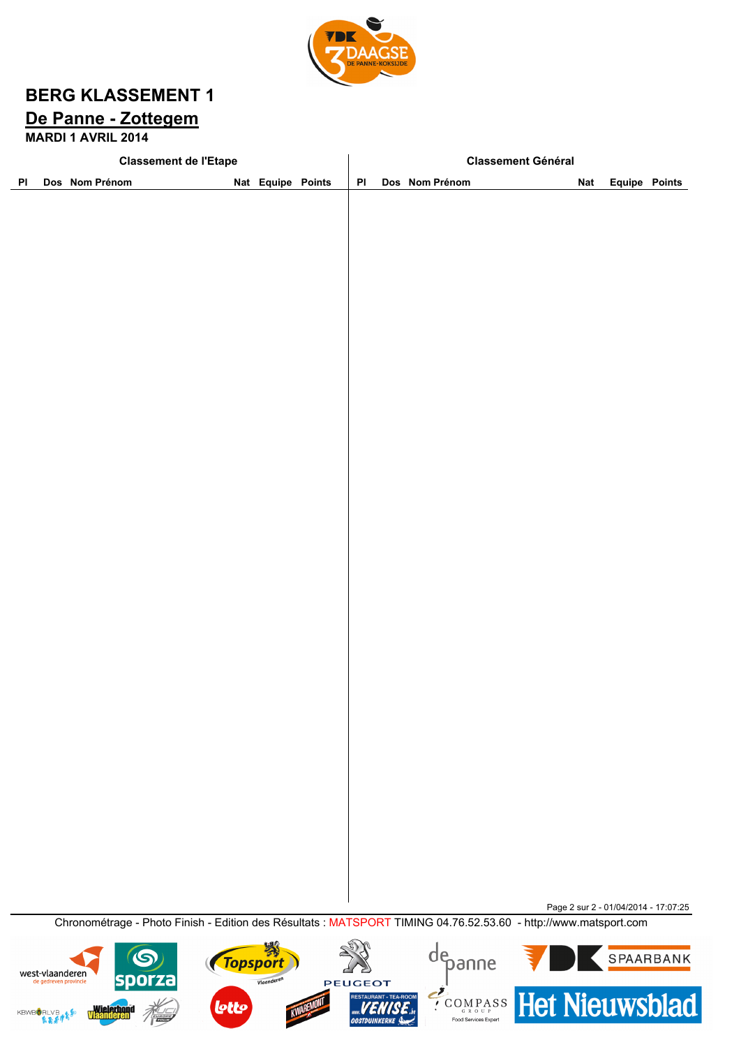

# **BERG KLASSEMENT 1 De Panne - Zottegem**

**MARDI 1 AVRIL 2014**

|    | <b>Classement de l'Etape</b>             |                                                                                                                 |              |                   |  |                      | <b>Classement Général</b>           |                                                        |  |                                      |                      |  |  |
|----|------------------------------------------|-----------------------------------------------------------------------------------------------------------------|--------------|-------------------|--|----------------------|-------------------------------------|--------------------------------------------------------|--|--------------------------------------|----------------------|--|--|
| PI |                                          | Dos Nom Prénom                                                                                                  |              | Nat Equipe Points |  | PI                   |                                     | Dos Nom Prénom                                         |  | <b>Nat</b>                           | <b>Equipe Points</b> |  |  |
|    |                                          |                                                                                                                 |              |                   |  |                      |                                     |                                                        |  |                                      |                      |  |  |
|    |                                          |                                                                                                                 |              |                   |  |                      |                                     |                                                        |  |                                      |                      |  |  |
|    |                                          |                                                                                                                 |              |                   |  |                      |                                     |                                                        |  |                                      |                      |  |  |
|    |                                          |                                                                                                                 |              |                   |  |                      |                                     |                                                        |  |                                      |                      |  |  |
|    |                                          |                                                                                                                 |              |                   |  |                      |                                     |                                                        |  |                                      |                      |  |  |
|    |                                          |                                                                                                                 |              |                   |  |                      |                                     |                                                        |  |                                      |                      |  |  |
|    |                                          |                                                                                                                 |              |                   |  |                      |                                     |                                                        |  |                                      |                      |  |  |
|    |                                          |                                                                                                                 |              |                   |  |                      |                                     |                                                        |  |                                      |                      |  |  |
|    |                                          |                                                                                                                 |              |                   |  |                      |                                     |                                                        |  |                                      |                      |  |  |
|    |                                          |                                                                                                                 |              |                   |  |                      |                                     |                                                        |  |                                      |                      |  |  |
|    |                                          |                                                                                                                 |              |                   |  |                      |                                     |                                                        |  |                                      |                      |  |  |
|    |                                          |                                                                                                                 |              |                   |  |                      |                                     |                                                        |  |                                      |                      |  |  |
|    |                                          |                                                                                                                 |              |                   |  |                      |                                     |                                                        |  |                                      |                      |  |  |
|    |                                          |                                                                                                                 |              |                   |  |                      |                                     |                                                        |  |                                      |                      |  |  |
|    |                                          |                                                                                                                 |              |                   |  |                      |                                     |                                                        |  |                                      |                      |  |  |
|    |                                          |                                                                                                                 |              |                   |  |                      |                                     |                                                        |  |                                      |                      |  |  |
|    |                                          |                                                                                                                 |              |                   |  |                      |                                     |                                                        |  |                                      |                      |  |  |
|    |                                          |                                                                                                                 |              |                   |  |                      |                                     |                                                        |  |                                      |                      |  |  |
|    |                                          |                                                                                                                 |              |                   |  |                      |                                     |                                                        |  |                                      |                      |  |  |
|    |                                          |                                                                                                                 |              |                   |  |                      |                                     |                                                        |  |                                      |                      |  |  |
|    |                                          |                                                                                                                 |              |                   |  |                      |                                     |                                                        |  |                                      |                      |  |  |
|    |                                          |                                                                                                                 |              |                   |  |                      |                                     |                                                        |  |                                      |                      |  |  |
|    |                                          |                                                                                                                 |              |                   |  |                      |                                     |                                                        |  |                                      |                      |  |  |
|    |                                          |                                                                                                                 |              |                   |  |                      |                                     |                                                        |  |                                      |                      |  |  |
|    |                                          |                                                                                                                 |              |                   |  |                      |                                     |                                                        |  |                                      |                      |  |  |
|    |                                          |                                                                                                                 |              |                   |  |                      |                                     |                                                        |  |                                      |                      |  |  |
|    |                                          |                                                                                                                 |              |                   |  |                      |                                     |                                                        |  |                                      |                      |  |  |
|    |                                          |                                                                                                                 |              |                   |  |                      |                                     |                                                        |  |                                      |                      |  |  |
|    |                                          |                                                                                                                 |              |                   |  |                      |                                     |                                                        |  |                                      |                      |  |  |
|    |                                          |                                                                                                                 |              |                   |  |                      |                                     |                                                        |  |                                      |                      |  |  |
|    |                                          |                                                                                                                 |              |                   |  |                      |                                     |                                                        |  |                                      |                      |  |  |
|    |                                          |                                                                                                                 |              |                   |  |                      |                                     |                                                        |  |                                      |                      |  |  |
|    |                                          | Chronométrage - Photo Finish - Edition des Résultats : MATSPORT TIMING 04.76.52.53.60 - http://www.matsport.com |              |                   |  |                      |                                     |                                                        |  | Page 2 sur 2 - 01/04/2014 - 17:07:25 |                      |  |  |
|    |                                          |                                                                                                                 |              |                   |  |                      |                                     |                                                        |  |                                      |                      |  |  |
|    |                                          |                                                                                                                 |              | Topsport          |  |                      |                                     | depanne                                                |  |                                      | SPAARBANK            |  |  |
|    | west-vlaanderen<br>de gedreven provincie | spor                                                                                                            |              | Vlaanderen        |  | <b>PEUGEOT</b>       |                                     |                                                        |  |                                      |                      |  |  |
|    | <b>KBWBORLVBAR\$</b>                     | <b>Wielerbond</b>                                                                                               | <b>lotto</b> |                   |  | <b>OOSTDUINKERKE</b> | <b>RESTAURANT - TEA-ROOM</b><br>MRA | <b>ECOMPASS</b> Het Nieuwsblad<br>Food Services Expert |  |                                      |                      |  |  |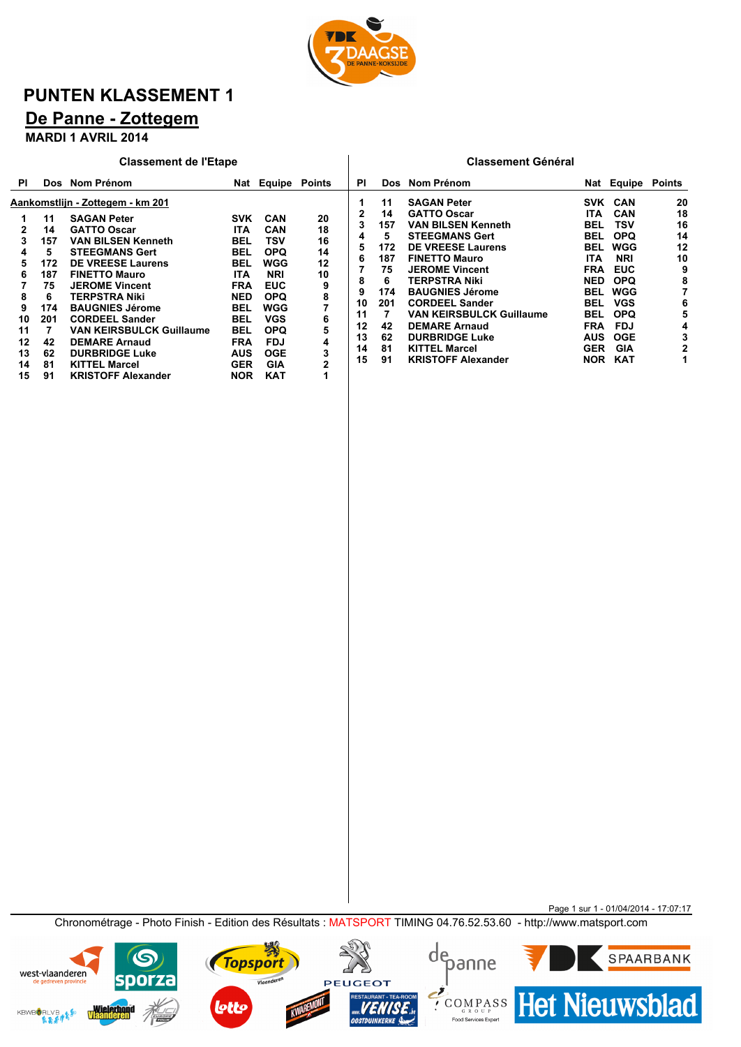

# **PUNTEN KLASSEMENT 1**

# **De Panne - Zottegem**

**MARDI 1 AVRIL 2014**

|                                                                | <b>Classement de l'Etape</b>                                                             |                                                                                                                                                                                                                                                                                                                                                                                                                              |                                                                                                                                                                               |                                                                                                                                                                                    |                                                                               |                                                                     | <b>Classement Général</b>                                                           |                                                                                                                                                                                                                                                                                                                                                                                          |                                                                                                                                                                                           |                                                                                                                                                                                    |                                                                     |  |
|----------------------------------------------------------------|------------------------------------------------------------------------------------------|------------------------------------------------------------------------------------------------------------------------------------------------------------------------------------------------------------------------------------------------------------------------------------------------------------------------------------------------------------------------------------------------------------------------------|-------------------------------------------------------------------------------------------------------------------------------------------------------------------------------|------------------------------------------------------------------------------------------------------------------------------------------------------------------------------------|-------------------------------------------------------------------------------|---------------------------------------------------------------------|-------------------------------------------------------------------------------------|------------------------------------------------------------------------------------------------------------------------------------------------------------------------------------------------------------------------------------------------------------------------------------------------------------------------------------------------------------------------------------------|-------------------------------------------------------------------------------------------------------------------------------------------------------------------------------------------|------------------------------------------------------------------------------------------------------------------------------------------------------------------------------------|---------------------------------------------------------------------|--|
| <b>PI</b>                                                      |                                                                                          | Dos Nom Prénom                                                                                                                                                                                                                                                                                                                                                                                                               |                                                                                                                                                                               | Nat Equipe                                                                                                                                                                         | <b>Points</b>                                                                 | ΡI                                                                  |                                                                                     | Dos Nom Prénom                                                                                                                                                                                                                                                                                                                                                                           |                                                                                                                                                                                           | Nat Equipe                                                                                                                                                                         | <b>Points</b>                                                       |  |
| 3<br>4<br>5<br>6<br>8<br>9<br>10<br>11<br>12<br>13<br>14<br>15 | 11<br>14<br>157<br>5<br>172<br>187<br>75<br>6<br>174<br>201<br>7<br>42<br>62<br>81<br>91 | Aankomstlijn - Zottegem - km 201<br><b>SAGAN Peter</b><br><b>GATTO Oscar</b><br><b>VAN BILSEN Kenneth</b><br><b>STEEGMANS Gert</b><br><b>DE VREESE Laurens</b><br><b>FINETTO Mauro</b><br><b>JEROME Vincent</b><br><b>TERPSTRA Niki</b><br><b>BAUGNIES Jérome</b><br><b>CORDEEL Sander</b><br>VAN KEIRSBULCK Guillaume<br><b>DEMARE Arnaud</b><br><b>DURBRIDGE Luke</b><br><b>KITTEL Marcel</b><br><b>KRISTOFF Alexander</b> | <b>SVK</b><br>ITA.<br><b>BEL</b><br><b>BEL</b><br>BEL<br>ITA.<br><b>FRA</b><br><b>NED</b><br>BEL<br>BEL<br><b>BEL</b><br><b>FRA</b><br><b>AUS</b><br><b>GER</b><br><b>NOR</b> | CAN<br><b>CAN</b><br>TSV<br><b>OPQ</b><br>WGG<br><b>NRI</b><br><b>EUC</b><br><b>OPQ</b><br>WGG<br><b>VGS</b><br><b>OPQ</b><br><b>FDJ</b><br><b>OGE</b><br><b>GIA</b><br><b>KAT</b> | 20<br>18<br>16<br>14<br>12<br>10<br>9<br>8<br>7<br>6<br>5<br>4<br>3<br>2<br>1 | 2<br>3<br>4<br>5<br>6<br>8<br>9<br>10<br>11<br>12<br>13<br>14<br>15 | 11<br>14<br>157<br>5<br>172<br>187<br>75<br>6<br>174<br>201<br>42<br>62<br>81<br>91 | <b>SAGAN Peter</b><br><b>GATTO Oscar</b><br><b>VAN BILSEN Kenneth</b><br><b>STEEGMANS Gert</b><br><b>DE VREESE Laurens</b><br><b>FINETTO Mauro</b><br><b>JEROME Vincent</b><br>TERPSTRA Niki<br><b>BAUGNIES Jérome</b><br><b>CORDEEL Sander</b><br><b>VAN KEIRSBULCK Guillaume</b><br><b>DEMARE Arnaud</b><br><b>DURBRIDGE Luke</b><br><b>KITTEL Marcel</b><br><b>KRISTOFF Alexander</b> | SVK<br><b>ITA</b><br>BEL<br><b>BEL</b><br><b>BEL</b><br><b>ITA</b><br><b>FRA</b><br>NED<br><b>BEL</b><br><b>BEL</b><br><b>BEL</b><br><b>FRA</b><br><b>AUS</b><br><b>GER</b><br><b>NOR</b> | <b>CAN</b><br><b>CAN</b><br>TSV<br><b>OPQ</b><br>WGG<br><b>NRI</b><br><b>EUC</b><br><b>OPQ</b><br><b>WGG</b><br><b>VGS</b><br><b>OPQ</b><br>FDJ<br><b>OGE</b><br>GIA<br><b>KAT</b> | 20<br>18<br>16<br>14<br>12<br>10<br>9<br>8<br>6<br>5<br>4<br>3<br>2 |  |
|                                                                |                                                                                          |                                                                                                                                                                                                                                                                                                                                                                                                                              |                                                                                                                                                                               |                                                                                                                                                                                    |                                                                               |                                                                     |                                                                                     |                                                                                                                                                                                                                                                                                                                                                                                          |                                                                                                                                                                                           |                                                                                                                                                                                    |                                                                     |  |

Page 1 sur 1 - 01/04/2014 - 17:07:17 Chronométrage - Photo Finish - Edition des Résultats : MATSPORT TIMING 04.76.52.53.60 - http://www.matsport.com





S.

Vlaanderen



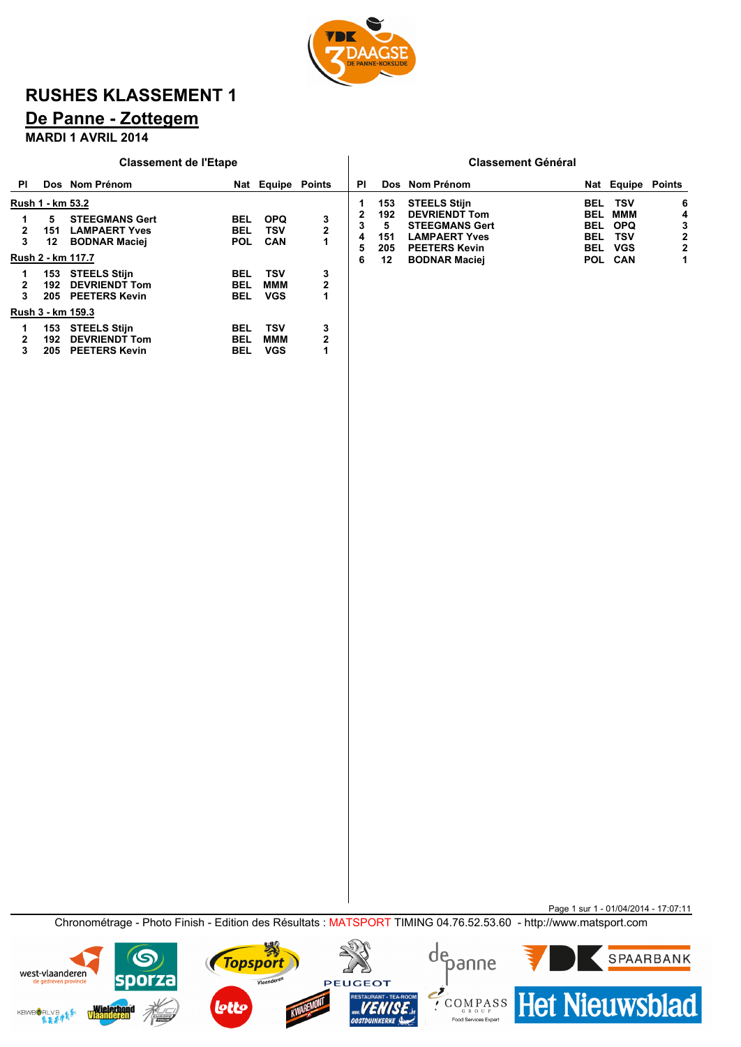

# **RUSHES KLASSEMENT 1**

# **De Panne - Zottegem**

#### **MARDI 1 AVRIL 2014**

|    |                                    | <b>Classement de l'Etape</b>                                                               |                                        |                                 |                              |                       |                                     | <b>Classement Général</b>                                                                                                                    |                                                                    |                                                             |                       |
|----|------------------------------------|--------------------------------------------------------------------------------------------|----------------------------------------|---------------------------------|------------------------------|-----------------------|-------------------------------------|----------------------------------------------------------------------------------------------------------------------------------------------|--------------------------------------------------------------------|-------------------------------------------------------------|-----------------------|
| PI |                                    | Dos Nom Prénom                                                                             |                                        | Nat Equipe Points               |                              | ΡI                    |                                     | Dos Nom Prénom                                                                                                                               |                                                                    | Nat Equipe Points                                           |                       |
| 3  | Rush 1 - km 53.2<br>5<br>151<br>12 | <b>STEEGMANS Gert</b><br><b>LAMPAERT Yves</b><br><b>BODNAR Maciej</b><br>Rush 2 - km 117.7 | BEL<br><b>BEL</b><br><b>POL</b>        | <b>OPQ</b><br>TSV<br><b>CAN</b> | 3<br>$\overline{\mathbf{2}}$ | 2<br>3<br>4<br>5<br>6 | 153<br>192<br>5<br>151<br>205<br>12 | <b>STEELS Stijn</b><br><b>DEVRIENDT Tom</b><br><b>STEEGMANS Gert</b><br><b>LAMPAERT Yves</b><br><b>PEETERS Kevin</b><br><b>BODNAR Maciej</b> | BEL<br>BEL<br><b>BEL</b><br><b>BEL</b><br><b>BEL</b><br><b>POL</b> | <b>TSV</b><br>ммм<br><b>OPQ</b><br>TSV<br><b>VGS</b><br>CAN | 6<br>4<br>3<br>2<br>2 |
| 3  | 153<br>192<br>205                  | <b>STEELS Stijn</b><br><b>DEVRIENDT Tom</b><br><b>PEETERS Kevin</b>                        | <b>BEL</b><br><b>BEL</b><br><b>BEL</b> | TSV<br>ммм<br><b>VGS</b>        | 3<br>$\overline{2}$<br>1     |                       |                                     |                                                                                                                                              |                                                                    |                                                             |                       |
|    |                                    | Rush 3 - km 159.3                                                                          |                                        |                                 |                              |                       |                                     |                                                                                                                                              |                                                                    |                                                             |                       |
|    | 153<br>192<br>205                  | <b>STEELS Stijn</b><br><b>DEVRIENDT Tom</b><br><b>PEETERS Kevin</b>                        | BEL<br>BEL<br>BEL                      | <b>TSV</b><br>ммм<br><b>VGS</b> | 3<br>$\overline{2}$          |                       |                                     |                                                                                                                                              |                                                                    |                                                             |                       |

Page 1 sur 1 - 01/04/2014 - 17:07:11 Chronométrage - Photo Finish - Edition des Résultats : MATSPORT TIMING 04.76.52.53.60 - http://www.matsport.com





depanne

外

Vlaanderen

**Topsport**